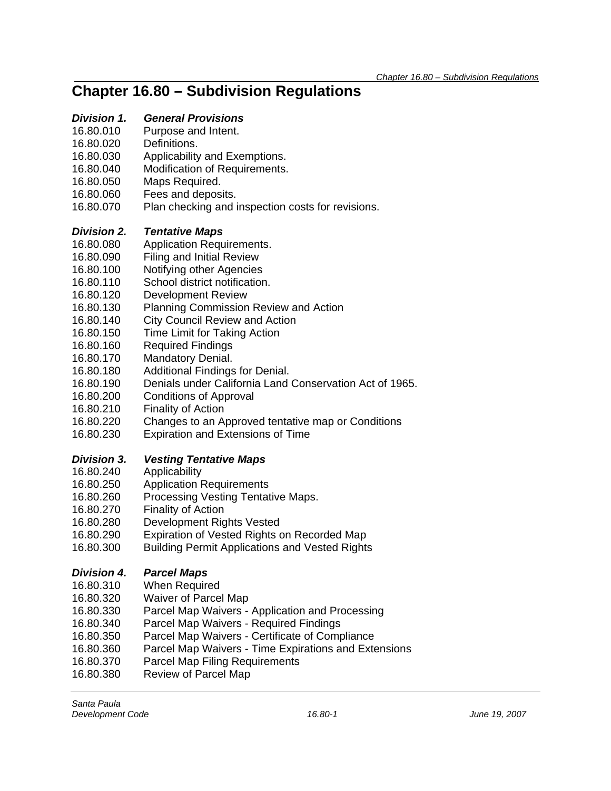### *Division 1. General Provisions*

- 16.80.010 Purpose and Intent.
- 16.80.020 Definitions.
- 16.80.030 Applicability and Exemptions.
- 16.80.040 Modification of Requirements.
- 16.80.050 Maps Required.
- 16.80.060 Fees and deposits.
- 16.80.070 Plan checking and inspection costs for revisions.

#### *Division 2. Tentative Maps*

- 16.80.080 Application Requirements.
- 16.80.090 Filing and Initial Review
- 16.80.100 Notifying other Agencies
- 16.80.110 School district notification.
- 16.80.120 Development Review
- 16.80.130 Planning Commission Review and Action
- 16.80.140 City Council Review and Action
- 16.80.150 Time Limit for Taking Action
- 16.80.160 Required Findings
- 16.80.170 Mandatory Denial.
- 16.80.180 Additional Findings for Denial.
- 16.80.190 Denials under California Land Conservation Act of 1965.
- 16.80.200 Conditions of Approval
- 16.80.210 Finality of Action
- 16.80.220 Changes to an Approved tentative map or Conditions
- 16.80.230 Expiration and Extensions of Time

### *Division 3. Vesting Tentative Maps*

- 16.80.240 Applicability
- 16.80.250 Application Requirements
- 16.80.260 Processing Vesting Tentative Maps.
- 16.80.270 Finality of Action
- 16.80.280 Development Rights Vested
- 16.80.290 Expiration of Vested Rights on Recorded Map
- 16.80.300 Building Permit Applications and Vested Rights

### *Division 4. Parcel Maps*

- 16.80.310 When Required
- 16.80.320 Waiver of Parcel Map
- 16.80.330 Parcel Map Waivers Application and Processing
- 16.80.340 Parcel Map Waivers Required Findings
- 16.80.350 Parcel Map Waivers Certificate of Compliance
- 16.80.360 Parcel Map Waivers Time Expirations and Extensions
- 16.80.370 Parcel Map Filing Requirements
- 16.80.380 Review of Parcel Map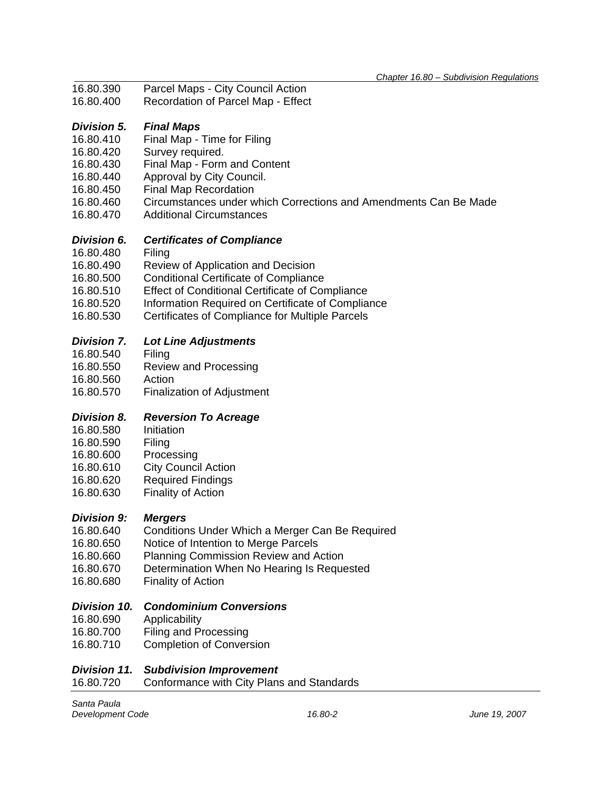- *Chapter 16.80 Subdivision Regulations* Parcel Maps - City Council Action
- 16.80.400 Recordation of Parcel Map Effect

### *Division 5. Final Maps*

- 16.80.410 Final Map Time for Filing
- 16.80.420 Survey required.
- 16.80.430 Final Map Form and Content
- 16.80.440 Approval by City Council.
- 16.80.450 Final Map Recordation
- 16.80.460 Circumstances under which Corrections and Amendments Can Be Made
- 16.80.470 Additional Circumstances

### *Division 6. Certificates of Compliance*

- 16.80.480 Filing
- 16.80.490 Review of Application and Decision
- 16.80.500 Conditional Certificate of Compliance
- 16.80.510 Effect of Conditional Certificate of Compliance
- 16.80.520 Information Required on Certificate of Compliance
- 16.80.530 Certificates of Compliance for Multiple Parcels

#### *Division 7. Lot Line Adjustments*

- 16.80.540 Filing
- 16.80.550 Review and Processing
- 
- 16.80.560 Action<br>16.80.570 Finaliza **Finalization of Adjustment**

### *Division 8. Reversion To Acreage*

- 16.80.580 Initiation
- 16.80.590 Filing
- 16.80.600 Processing
- 16.80.610 City Council Action
- 16.80.620 Required Findings
- 16.80.630 Finality of Action

### *Division 9: Mergers*

- 16.80.640 Conditions Under Which a Merger Can Be Required
- 16.80.650 Notice of Intention to Merge Parcels
- 16.80.660 Planning Commission Review and Action
- 16.80.670 Determination When No Hearing Is Requested
- 16.80.680 Finality of Action

### *Division 10. Condominium Conversions*

- 16.80.690 Applicability
- 16.80.700 Filing and Processing
- 16.80.710 Completion of Conversion

#### *Division 11. Subdivision Improvement*

16.80.720 Conformance with City Plans and Standards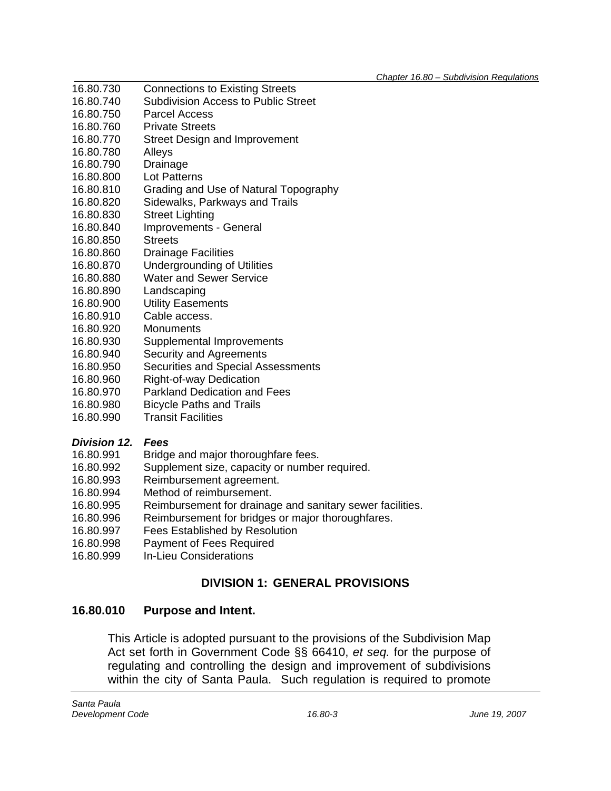- *Chapter 16.80 Subdivision Regulations* **Connections to Existing Streets**
- 16.80.740 Subdivision Access to Public Street
- 16.80.750 Parcel Access
- 16.80.760 Private Streets
- 16.80.770 Street Design and Improvement
- 16.80.780 Alleys
- 16.80.790 Drainage
- 16.80.800 Lot Patterns
- 16.80.810 Grading and Use of Natural Topography
- 16.80.820 Sidewalks, Parkways and Trails
- 16.80.830 Street Lighting
- 16.80.840 Improvements General
- 16.80.850 Streets
- 16.80.860 Drainage Facilities
- 16.80.870 Undergrounding of Utilities
- 16.80.880 Water and Sewer Service
- 16.80.890 Landscaping
- 16.80.900 Utility Easements
- 16.80.910 Cable access.
- 16.80.920 Monuments
- 16.80.930 Supplemental Improvements
- 16.80.940 Security and Agreements
- 16.80.950 Securities and Special Assessments
- 16.80.960 Right-of-way Dedication
- 16.80.970 Parkland Dedication and Fees
- 16.80.980 Bicycle Paths and Trails
- 16.80.990 Transit Facilities

## *Division 12. Fees*

- 16.80.991 Bridge and major thoroughfare fees.
- 16.80.992 Supplement size, capacity or number required.
- 16.80.993 Reimbursement agreement.
- 16.80.994 Method of reimbursement.
- 16.80.995 Reimbursement for drainage and sanitary sewer facilities.
- 16.80.996 Reimbursement for bridges or major thoroughfares.
- 16.80.997 Fees Established by Resolution
- 16.80.998 Payment of Fees Required
- 16.80.999 In-Lieu Considerations

## **DIVISION 1: GENERAL PROVISIONS**

## **16.80.010 Purpose and Intent.**

This Article is adopted pursuant to the provisions of the Subdivision Map Act set forth in Government Code §§ 66410, *et seq.* for the purpose of regulating and controlling the design and improvement of subdivisions within the city of Santa Paula. Such regulation is required to promote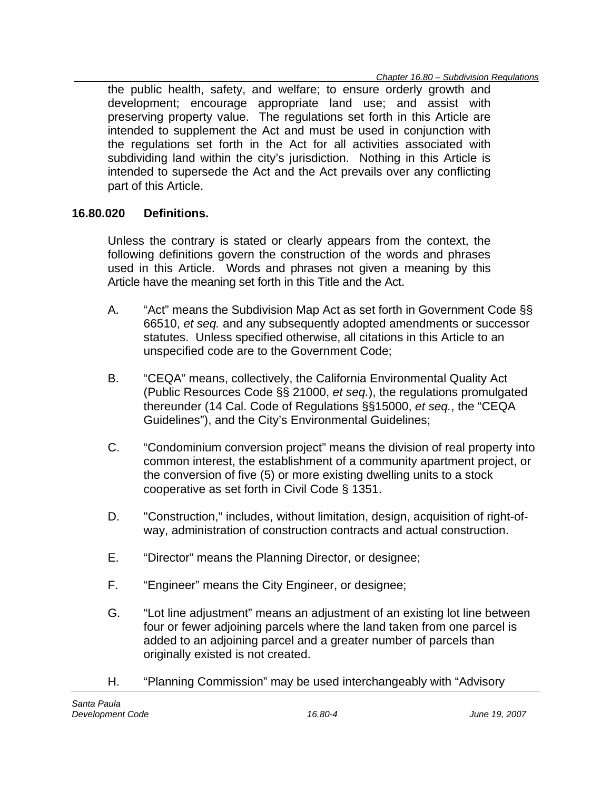the public health, safety, and welfare; to ensure orderly growth and development; encourage appropriate land use; and assist with preserving property value. The regulations set forth in this Article are intended to supplement the Act and must be used in conjunction with the regulations set forth in the Act for all activities associated with subdividing land within the city's jurisdiction. Nothing in this Article is intended to supersede the Act and the Act prevails over any conflicting part of this Article.

### **16.80.020 Definitions.**

Unless the contrary is stated or clearly appears from the context, the following definitions govern the construction of the words and phrases used in this Article. Words and phrases not given a meaning by this Article have the meaning set forth in this Title and the Act.

- A. "Act" means the Subdivision Map Act as set forth in Government Code §§ 66510, *et seq.* and any subsequently adopted amendments or successor statutes. Unless specified otherwise, all citations in this Article to an unspecified code are to the Government Code;
- B. "CEQA" means, collectively, the California Environmental Quality Act (Public Resources Code §§ 21000, *et seq.*), the regulations promulgated thereunder (14 Cal. Code of Regulations §§15000, *et seq.*, the "CEQA Guidelines"), and the City's Environmental Guidelines;
- C. "Condominium conversion project" means the division of real property into common interest, the establishment of a community apartment project, or the conversion of five (5) or more existing dwelling units to a stock cooperative as set forth in Civil Code § 1351.
- D. "Construction," includes, without limitation, design, acquisition of right-ofway, administration of construction contracts and actual construction.
- E. "Director" means the Planning Director, or designee;
- F. "Engineer" means the City Engineer, or designee;
- G. "Lot line adjustment" means an adjustment of an existing lot line between four or fewer adjoining parcels where the land taken from one parcel is added to an adjoining parcel and a greater number of parcels than originally existed is not created.
- H. "Planning Commission" may be used interchangeably with "Advisory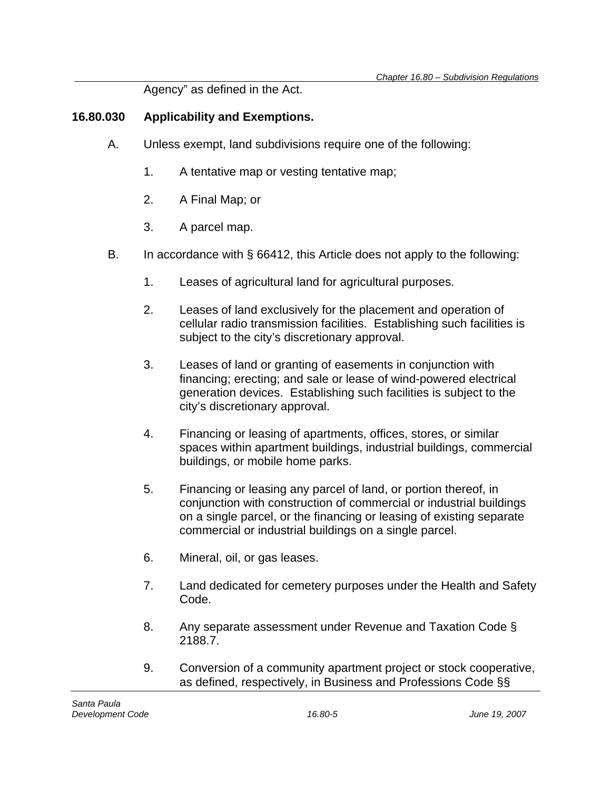Agency" as defined in the Act.

### **16.80.030 Applicability and Exemptions.**

- A. Unless exempt, land subdivisions require one of the following:
	- 1. A tentative map or vesting tentative map;
	- 2. A Final Map; or
	- 3. A parcel map.
- B. In accordance with § 66412, this Article does not apply to the following:
	- 1. Leases of agricultural land for agricultural purposes.
	- 2. Leases of land exclusively for the placement and operation of cellular radio transmission facilities. Establishing such facilities is subject to the city's discretionary approval.
	- 3. Leases of land or granting of easements in conjunction with financing; erecting; and sale or lease of wind-powered electrical generation devices. Establishing such facilities is subject to the city's discretionary approval.
	- 4. Financing or leasing of apartments, offices, stores, or similar spaces within apartment buildings, industrial buildings, commercial buildings, or mobile home parks.
	- 5. Financing or leasing any parcel of land, or portion thereof, in conjunction with construction of commercial or industrial buildings on a single parcel, or the financing or leasing of existing separate commercial or industrial buildings on a single parcel.
	- 6. Mineral, oil, or gas leases.
	- 7. Land dedicated for cemetery purposes under the Health and Safety Code.
	- 8. Any separate assessment under Revenue and Taxation Code § 2188.7.
	- 9. Conversion of a community apartment project or stock cooperative, as defined, respectively, in Business and Professions Code §§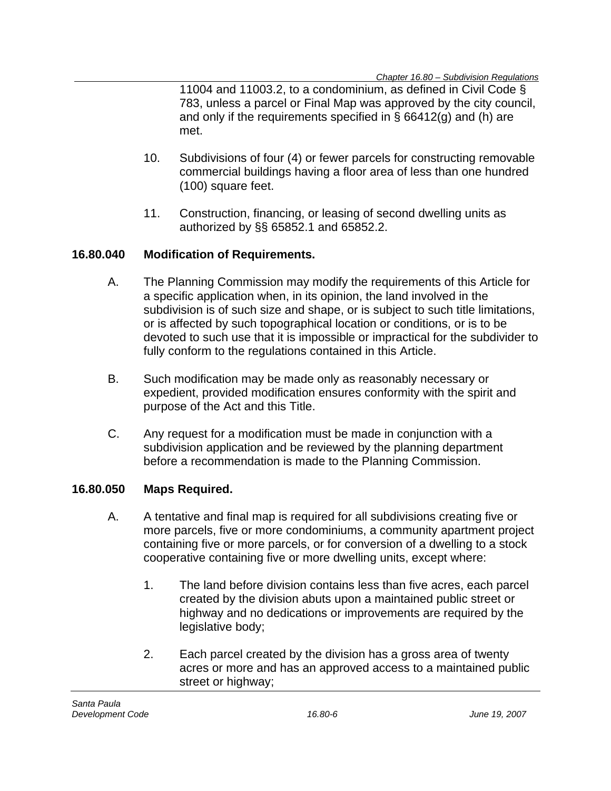11004 and 11003.2, to a condominium, as defined in Civil Code § 783, unless a parcel or Final Map was approved by the city council, and only if the requirements specified in § 66412(g) and (h) are met.

- 10. Subdivisions of four (4) or fewer parcels for constructing removable commercial buildings having a floor area of less than one hundred (100) square feet.
- 11. Construction, financing, or leasing of second dwelling units as authorized by §§ 65852.1 and 65852.2.

### **16.80.040 Modification of Requirements.**

- A. The Planning Commission may modify the requirements of this Article for a specific application when, in its opinion, the land involved in the subdivision is of such size and shape, or is subject to such title limitations, or is affected by such topographical location or conditions, or is to be devoted to such use that it is impossible or impractical for the subdivider to fully conform to the regulations contained in this Article.
- B. Such modification may be made only as reasonably necessary or expedient, provided modification ensures conformity with the spirit and purpose of the Act and this Title.
- C. Any request for a modification must be made in conjunction with a subdivision application and be reviewed by the planning department before a recommendation is made to the Planning Commission.

### **16.80.050 Maps Required.**

- A. A tentative and final map is required for all subdivisions creating five or more parcels, five or more condominiums, a community apartment project containing five or more parcels, or for conversion of a dwelling to a stock cooperative containing five or more dwelling units, except where:
	- 1. The land before division contains less than five acres, each parcel created by the division abuts upon a maintained public street or highway and no dedications or improvements are required by the legislative body;
	- 2. Each parcel created by the division has a gross area of twenty acres or more and has an approved access to a maintained public street or highway;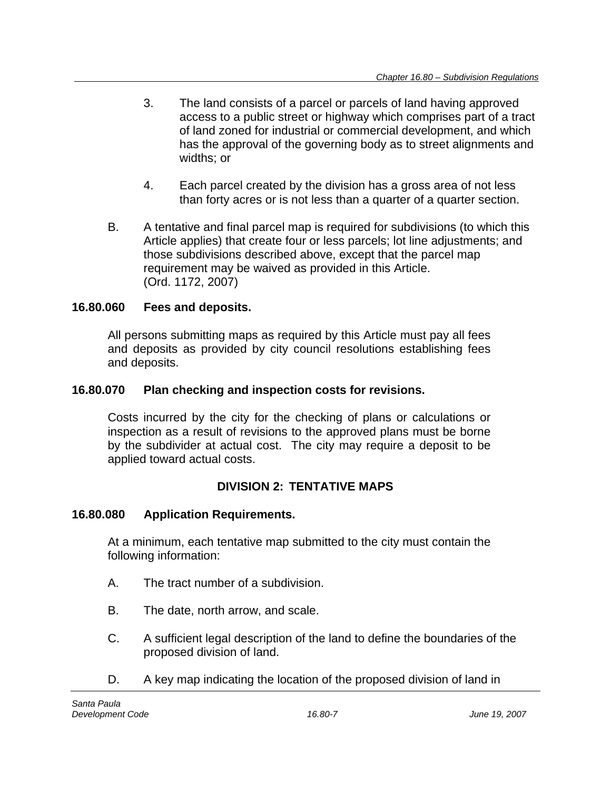- 3. The land consists of a parcel or parcels of land having approved access to a public street or highway which comprises part of a tract of land zoned for industrial or commercial development, and which has the approval of the governing body as to street alignments and widths; or
- 4. Each parcel created by the division has a gross area of not less than forty acres or is not less than a quarter of a quarter section.
- B. A tentative and final parcel map is required for subdivisions (to which this Article applies) that create four or less parcels; lot line adjustments; and those subdivisions described above, except that the parcel map requirement may be waived as provided in this Article. (Ord. 1172, 2007)

## **16.80.060 Fees and deposits.**

All persons submitting maps as required by this Article must pay all fees and deposits as provided by city council resolutions establishing fees and deposits.

## **16.80.070 Plan checking and inspection costs for revisions.**

Costs incurred by the city for the checking of plans or calculations or inspection as a result of revisions to the approved plans must be borne by the subdivider at actual cost. The city may require a deposit to be applied toward actual costs.

## **DIVISION 2: TENTATIVE MAPS**

## **16.80.080 Application Requirements.**

At a minimum, each tentative map submitted to the city must contain the following information:

- A. The tract number of a subdivision.
- B. The date, north arrow, and scale.
- C. A sufficient legal description of the land to define the boundaries of the proposed division of land.
- D. A key map indicating the location of the proposed division of land in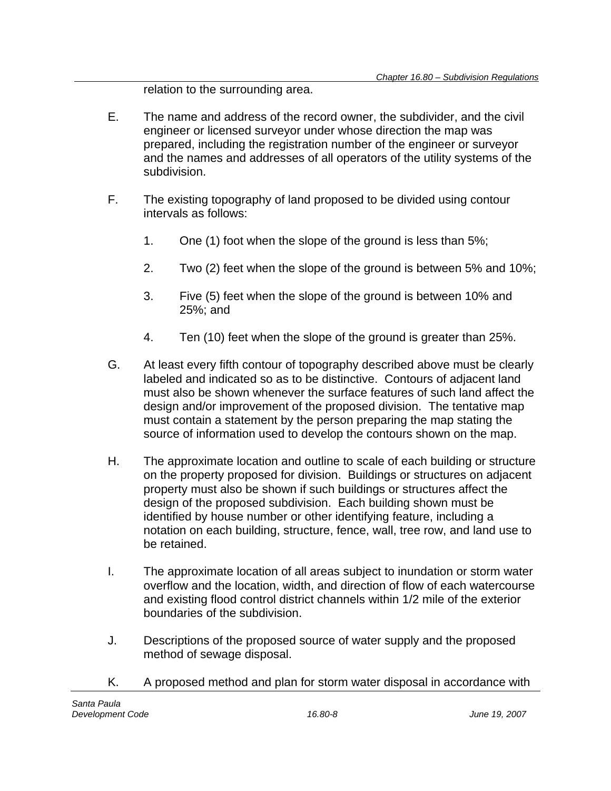relation to the surrounding area.

- E. The name and address of the record owner, the subdivider, and the civil engineer or licensed surveyor under whose direction the map was prepared, including the registration number of the engineer or surveyor and the names and addresses of all operators of the utility systems of the subdivision.
- F. The existing topography of land proposed to be divided using contour intervals as follows:
	- 1. One (1) foot when the slope of the ground is less than 5%;
	- 2. Two (2) feet when the slope of the ground is between 5% and 10%;
	- 3. Five (5) feet when the slope of the ground is between 10% and 25%; and
	- 4. Ten (10) feet when the slope of the ground is greater than 25%.
- G. At least every fifth contour of topography described above must be clearly labeled and indicated so as to be distinctive. Contours of adjacent land must also be shown whenever the surface features of such land affect the design and/or improvement of the proposed division. The tentative map must contain a statement by the person preparing the map stating the source of information used to develop the contours shown on the map.
- H. The approximate location and outline to scale of each building or structure on the property proposed for division. Buildings or structures on adjacent property must also be shown if such buildings or structures affect the design of the proposed subdivision. Each building shown must be identified by house number or other identifying feature, including a notation on each building, structure, fence, wall, tree row, and land use to be retained.
- I. The approximate location of all areas subject to inundation or storm water overflow and the location, width, and direction of flow of each watercourse and existing flood control district channels within 1/2 mile of the exterior boundaries of the subdivision.
- J. Descriptions of the proposed source of water supply and the proposed method of sewage disposal.
- K. A proposed method and plan for storm water disposal in accordance with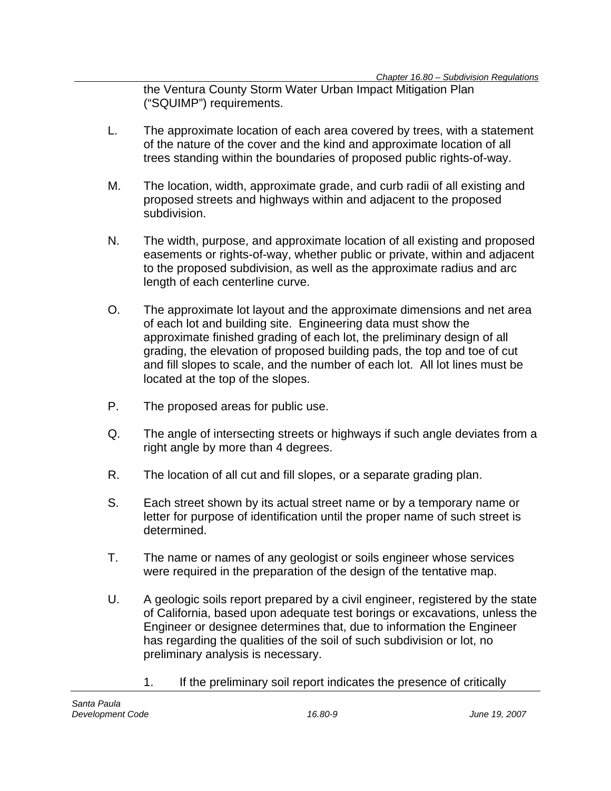the Ventura County Storm Water Urban Impact Mitigation Plan ("SQUIMP") requirements.

- L. The approximate location of each area covered by trees, with a statement of the nature of the cover and the kind and approximate location of all trees standing within the boundaries of proposed public rights-of-way.
- M. The location, width, approximate grade, and curb radii of all existing and proposed streets and highways within and adjacent to the proposed subdivision.
- N. The width, purpose, and approximate location of all existing and proposed easements or rights-of-way, whether public or private, within and adjacent to the proposed subdivision, as well as the approximate radius and arc length of each centerline curve.
- O. The approximate lot layout and the approximate dimensions and net area of each lot and building site. Engineering data must show the approximate finished grading of each lot, the preliminary design of all grading, the elevation of proposed building pads, the top and toe of cut and fill slopes to scale, and the number of each lot. All lot lines must be located at the top of the slopes.
- P. The proposed areas for public use.
- Q. The angle of intersecting streets or highways if such angle deviates from a right angle by more than 4 degrees.
- R. The location of all cut and fill slopes, or a separate grading plan.
- S. Each street shown by its actual street name or by a temporary name or letter for purpose of identification until the proper name of such street is determined.
- T. The name or names of any geologist or soils engineer whose services were required in the preparation of the design of the tentative map.
- U. A geologic soils report prepared by a civil engineer, registered by the state of California, based upon adequate test borings or excavations, unless the Engineer or designee determines that, due to information the Engineer has regarding the qualities of the soil of such subdivision or lot, no preliminary analysis is necessary.
	- 1. If the preliminary soil report indicates the presence of critically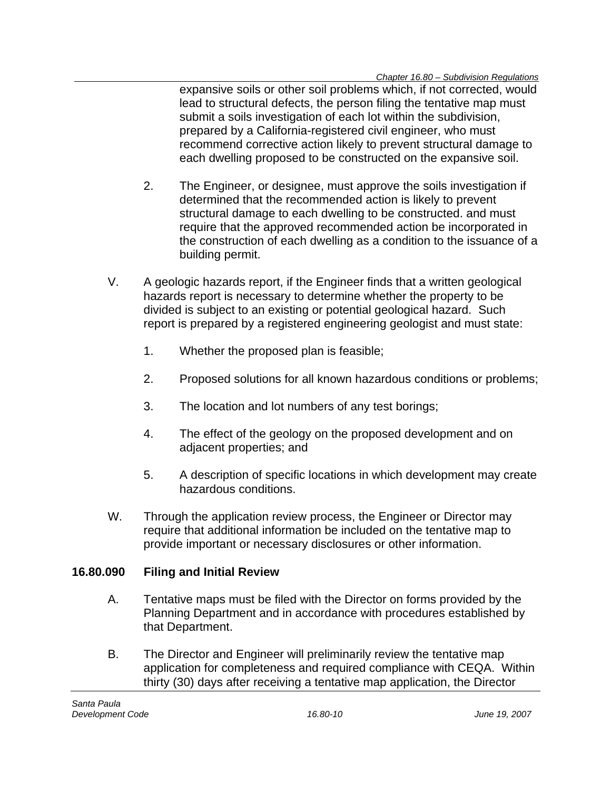expansive soils or other soil problems which, if not corrected, would lead to structural defects, the person filing the tentative map must submit a soils investigation of each lot within the subdivision, prepared by a California-registered civil engineer, who must recommend corrective action likely to prevent structural damage to each dwelling proposed to be constructed on the expansive soil.

- 2. The Engineer, or designee, must approve the soils investigation if determined that the recommended action is likely to prevent structural damage to each dwelling to be constructed. and must require that the approved recommended action be incorporated in the construction of each dwelling as a condition to the issuance of a building permit.
- V. A geologic hazards report, if the Engineer finds that a written geological hazards report is necessary to determine whether the property to be divided is subject to an existing or potential geological hazard. Such report is prepared by a registered engineering geologist and must state:
	- 1. Whether the proposed plan is feasible;
	- 2. Proposed solutions for all known hazardous conditions or problems;
	- 3. The location and lot numbers of any test borings;
	- 4. The effect of the geology on the proposed development and on adjacent properties; and
	- 5. A description of specific locations in which development may create hazardous conditions.
- W. Through the application review process, the Engineer or Director may require that additional information be included on the tentative map to provide important or necessary disclosures or other information.

## **16.80.090 Filing and Initial Review**

- A. Tentative maps must be filed with the Director on forms provided by the Planning Department and in accordance with procedures established by that Department.
- B. The Director and Engineer will preliminarily review the tentative map application for completeness and required compliance with CEQA. Within thirty (30) days after receiving a tentative map application, the Director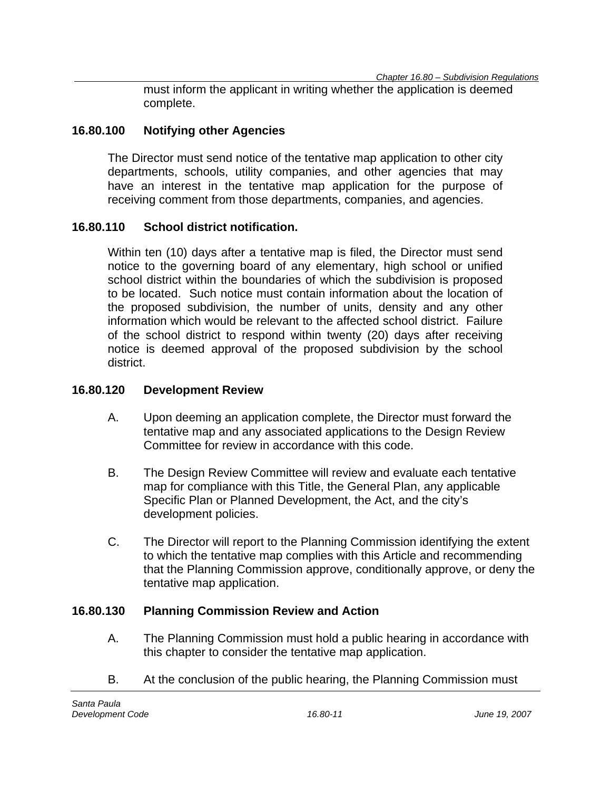must inform the applicant in writing whether the application is deemed complete.

### **16.80.100 Notifying other Agencies**

The Director must send notice of the tentative map application to other city departments, schools, utility companies, and other agencies that may have an interest in the tentative map application for the purpose of receiving comment from those departments, companies, and agencies.

### **16.80.110 School district notification.**

Within ten (10) days after a tentative map is filed, the Director must send notice to the governing board of any elementary, high school or unified school district within the boundaries of which the subdivision is proposed to be located. Such notice must contain information about the location of the proposed subdivision, the number of units, density and any other information which would be relevant to the affected school district. Failure of the school district to respond within twenty (20) days after receiving notice is deemed approval of the proposed subdivision by the school district.

#### **16.80.120 Development Review**

- A. Upon deeming an application complete, the Director must forward the tentative map and any associated applications to the Design Review Committee for review in accordance with this code.
- B. The Design Review Committee will review and evaluate each tentative map for compliance with this Title, the General Plan, any applicable Specific Plan or Planned Development, the Act, and the city's development policies.
- C. The Director will report to the Planning Commission identifying the extent to which the tentative map complies with this Article and recommending that the Planning Commission approve, conditionally approve, or deny the tentative map application.

### **16.80.130 Planning Commission Review and Action**

- A. The Planning Commission must hold a public hearing in accordance with this chapter to consider the tentative map application.
- B. At the conclusion of the public hearing, the Planning Commission must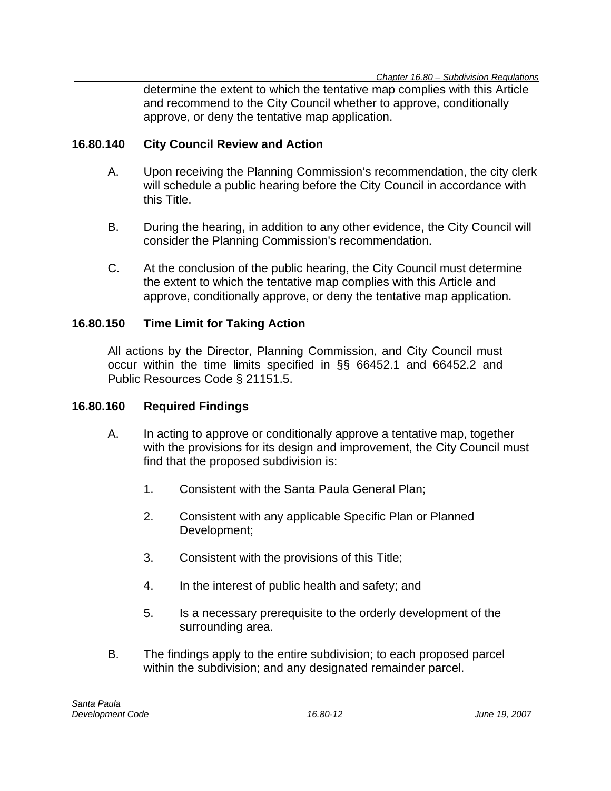determine the extent to which the tentative map complies with this Article and recommend to the City Council whether to approve, conditionally approve, or deny the tentative map application.

### **16.80.140 City Council Review and Action**

- A. Upon receiving the Planning Commission's recommendation, the city clerk will schedule a public hearing before the City Council in accordance with this Title.
- B. During the hearing, in addition to any other evidence, the City Council will consider the Planning Commission's recommendation.
- C. At the conclusion of the public hearing, the City Council must determine the extent to which the tentative map complies with this Article and approve, conditionally approve, or deny the tentative map application.

### **16.80.150 Time Limit for Taking Action**

All actions by the Director, Planning Commission, and City Council must occur within the time limits specified in §§ 66452.1 and 66452.2 and Public Resources Code § 21151.5.

### **16.80.160 Required Findings**

- A. In acting to approve or conditionally approve a tentative map, together with the provisions for its design and improvement, the City Council must find that the proposed subdivision is:
	- 1. Consistent with the Santa Paula General Plan;
	- 2. Consistent with any applicable Specific Plan or Planned Development;
	- 3. Consistent with the provisions of this Title;
	- 4. In the interest of public health and safety; and
	- 5. Is a necessary prerequisite to the orderly development of the surrounding area.
- B. The findings apply to the entire subdivision; to each proposed parcel within the subdivision; and any designated remainder parcel.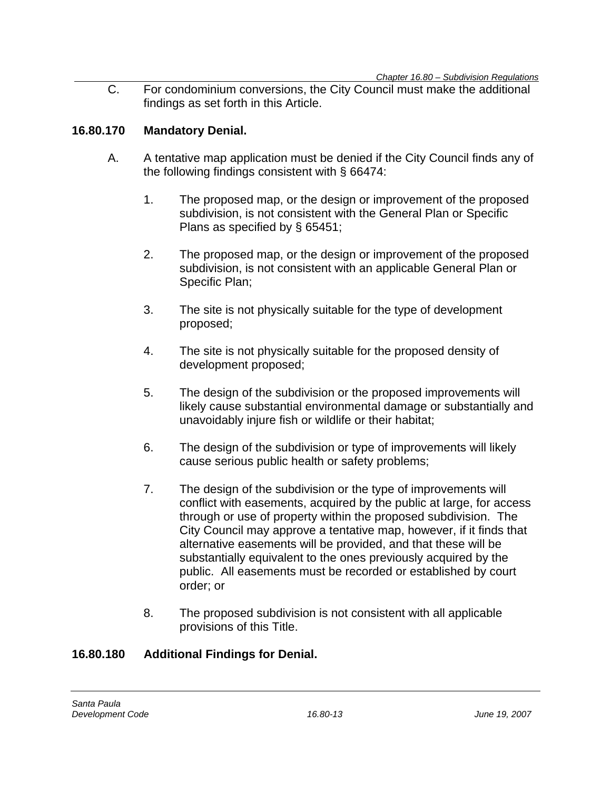C. For condominium conversions, the City Council must make the additional findings as set forth in this Article.

### **16.80.170 Mandatory Denial.**

- A. A tentative map application must be denied if the City Council finds any of the following findings consistent with § 66474:
	- 1. The proposed map, or the design or improvement of the proposed subdivision, is not consistent with the General Plan or Specific Plans as specified by § 65451;
	- 2. The proposed map, or the design or improvement of the proposed subdivision, is not consistent with an applicable General Plan or Specific Plan;
	- 3. The site is not physically suitable for the type of development proposed;
	- 4. The site is not physically suitable for the proposed density of development proposed;
	- 5. The design of the subdivision or the proposed improvements will likely cause substantial environmental damage or substantially and unavoidably injure fish or wildlife or their habitat;
	- 6. The design of the subdivision or type of improvements will likely cause serious public health or safety problems;
	- 7. The design of the subdivision or the type of improvements will conflict with easements, acquired by the public at large, for access through or use of property within the proposed subdivision. The City Council may approve a tentative map, however, if it finds that alternative easements will be provided, and that these will be substantially equivalent to the ones previously acquired by the public. All easements must be recorded or established by court order; or
	- 8. The proposed subdivision is not consistent with all applicable provisions of this Title.

## **16.80.180 Additional Findings for Denial.**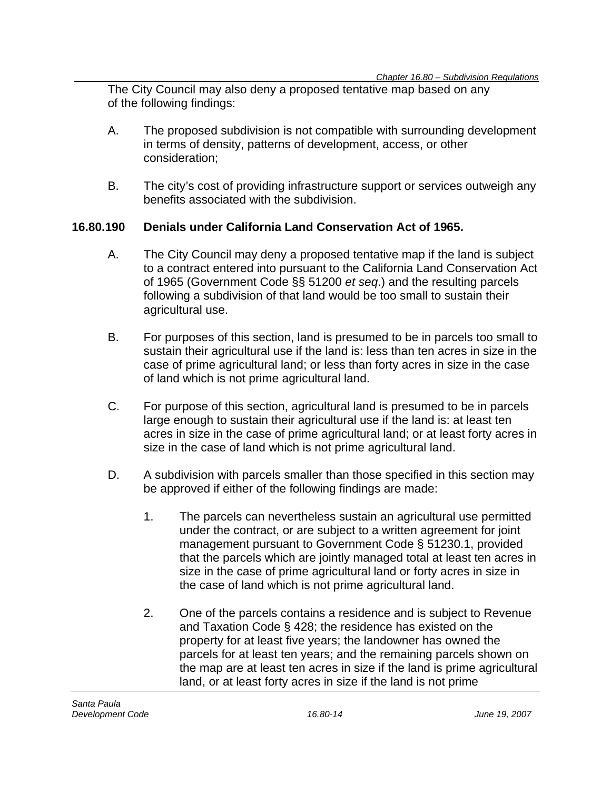The City Council may also deny a proposed tentative map based on any of the following findings:

- A. The proposed subdivision is not compatible with surrounding development in terms of density, patterns of development, access, or other consideration;
- B. The city's cost of providing infrastructure support or services outweigh any benefits associated with the subdivision.

### **16.80.190 Denials under California Land Conservation Act of 1965.**

- A. The City Council may deny a proposed tentative map if the land is subject to a contract entered into pursuant to the California Land Conservation Act of 1965 (Government Code §§ 51200 *et seq*.) and the resulting parcels following a subdivision of that land would be too small to sustain their agricultural use.
- B. For purposes of this section, land is presumed to be in parcels too small to sustain their agricultural use if the land is: less than ten acres in size in the case of prime agricultural land; or less than forty acres in size in the case of land which is not prime agricultural land.
- C. For purpose of this section, agricultural land is presumed to be in parcels large enough to sustain their agricultural use if the land is: at least ten acres in size in the case of prime agricultural land; or at least forty acres in size in the case of land which is not prime agricultural land.
- D. A subdivision with parcels smaller than those specified in this section may be approved if either of the following findings are made:
	- 1. The parcels can nevertheless sustain an agricultural use permitted under the contract, or are subject to a written agreement for joint management pursuant to Government Code § 51230.1, provided that the parcels which are jointly managed total at least ten acres in size in the case of prime agricultural land or forty acres in size in the case of land which is not prime agricultural land.
	- 2. One of the parcels contains a residence and is subject to Revenue and Taxation Code § 428; the residence has existed on the property for at least five years; the landowner has owned the parcels for at least ten years; and the remaining parcels shown on the map are at least ten acres in size if the land is prime agricultural land, or at least forty acres in size if the land is not prime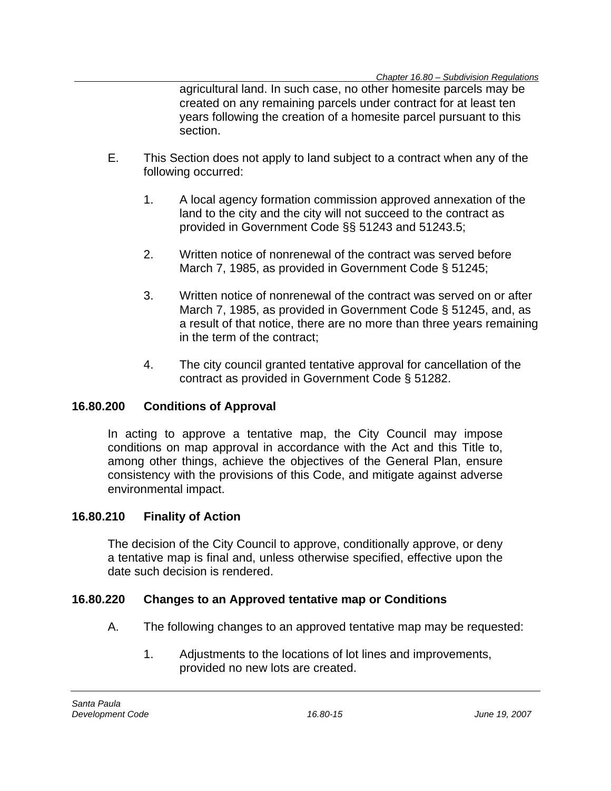agricultural land. In such case, no other homesite parcels may be created on any remaining parcels under contract for at least ten years following the creation of a homesite parcel pursuant to this section.

- E. This Section does not apply to land subject to a contract when any of the following occurred:
	- 1. A local agency formation commission approved annexation of the land to the city and the city will not succeed to the contract as provided in Government Code §§ 51243 and 51243.5;
	- 2. Written notice of nonrenewal of the contract was served before March 7, 1985, as provided in Government Code § 51245;
	- 3. Written notice of nonrenewal of the contract was served on or after March 7, 1985, as provided in Government Code § 51245, and, as a result of that notice, there are no more than three years remaining in the term of the contract;
	- 4. The city council granted tentative approval for cancellation of the contract as provided in Government Code § 51282.

## **16.80.200 Conditions of Approval**

In acting to approve a tentative map, the City Council may impose conditions on map approval in accordance with the Act and this Title to, among other things, achieve the objectives of the General Plan, ensure consistency with the provisions of this Code, and mitigate against adverse environmental impact.

## **16.80.210 Finality of Action**

The decision of the City Council to approve, conditionally approve, or deny a tentative map is final and, unless otherwise specified, effective upon the date such decision is rendered.

### **16.80.220 Changes to an Approved tentative map or Conditions**

- A. The following changes to an approved tentative map may be requested:
	- 1. Adjustments to the locations of lot lines and improvements, provided no new lots are created.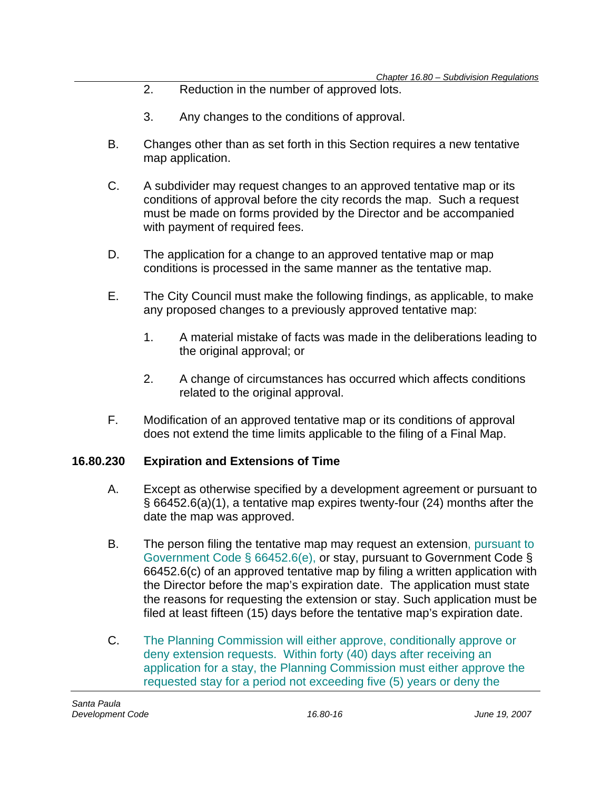- 2. Reduction in the number of approved lots.
- 3. Any changes to the conditions of approval.
- B. Changes other than as set forth in this Section requires a new tentative map application.
- C. A subdivider may request changes to an approved tentative map or its conditions of approval before the city records the map. Such a request must be made on forms provided by the Director and be accompanied with payment of required fees.
- D. The application for a change to an approved tentative map or map conditions is processed in the same manner as the tentative map.
- E. The City Council must make the following findings, as applicable, to make any proposed changes to a previously approved tentative map:
	- 1. A material mistake of facts was made in the deliberations leading to the original approval; or
	- 2. A change of circumstances has occurred which affects conditions related to the original approval.
- F. Modification of an approved tentative map or its conditions of approval does not extend the time limits applicable to the filing of a Final Map.

## **16.80.230 Expiration and Extensions of Time**

- A. Except as otherwise specified by a development agreement or pursuant to § 66452.6(a)(1), a tentative map expires twenty-four (24) months after the date the map was approved.
- B. The person filing the tentative map may request an extension, pursuant to Government Code § 66452.6(e), or stay, pursuant to Government Code § 66452.6(c) of an approved tentative map by filing a written application with the Director before the map's expiration date. The application must state the reasons for requesting the extension or stay. Such application must be filed at least fifteen (15) days before the tentative map's expiration date.
- C. The Planning Commission will either approve, conditionally approve or deny extension requests. Within forty (40) days after receiving an application for a stay, the Planning Commission must either approve the requested stay for a period not exceeding five (5) years or deny the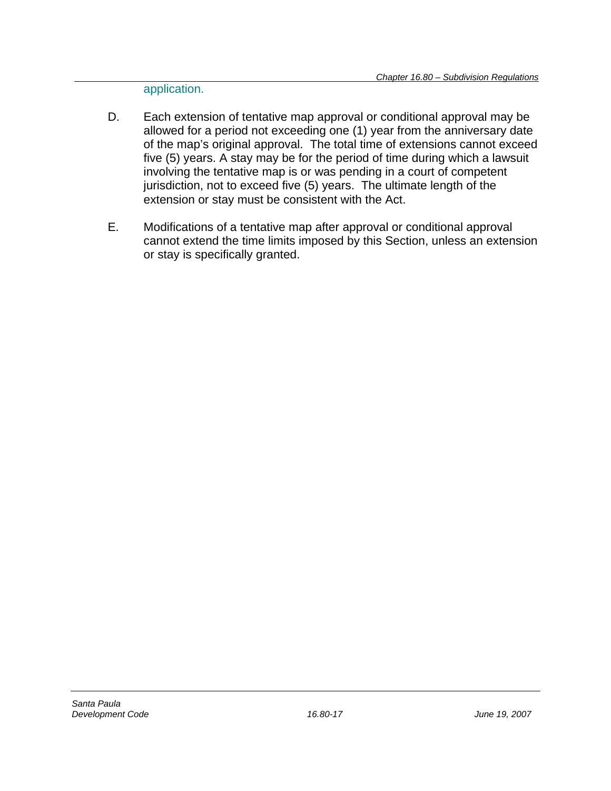application.

- D. Each extension of tentative map approval or conditional approval may be allowed for a period not exceeding one (1) year from the anniversary date of the map's original approval. The total time of extensions cannot exceed five (5) years. A stay may be for the period of time during which a lawsuit involving the tentative map is or was pending in a court of competent jurisdiction, not to exceed five (5) years. The ultimate length of the extension or stay must be consistent with the Act.
- E. Modifications of a tentative map after approval or conditional approval cannot extend the time limits imposed by this Section, unless an extension or stay is specifically granted.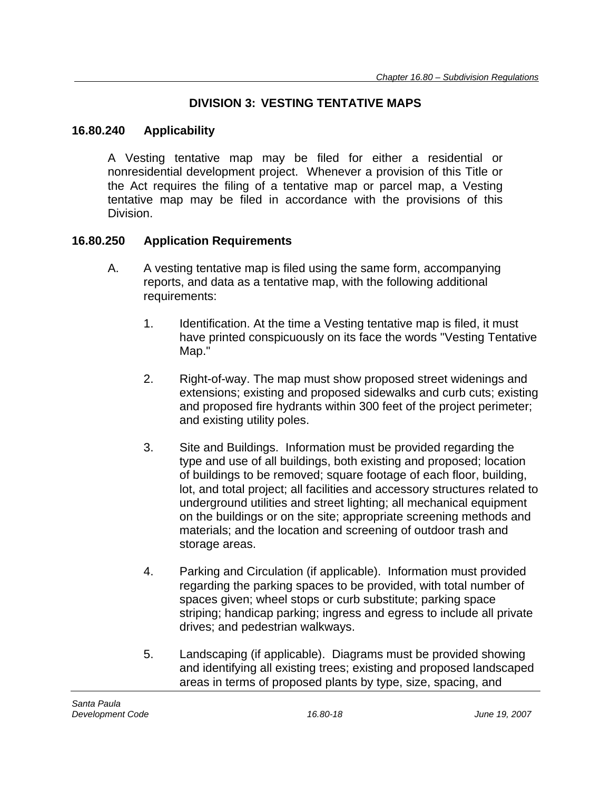## **DIVISION 3: VESTING TENTATIVE MAPS**

### **16.80.240 Applicability**

A Vesting tentative map may be filed for either a residential or nonresidential development project. Whenever a provision of this Title or the Act requires the filing of a tentative map or parcel map, a Vesting tentative map may be filed in accordance with the provisions of this Division.

### **16.80.250 Application Requirements**

- A. A vesting tentative map is filed using the same form, accompanying reports, and data as a tentative map, with the following additional requirements:
	- 1. Identification. At the time a Vesting tentative map is filed, it must have printed conspicuously on its face the words "Vesting Tentative Map."
	- 2. Right-of-way. The map must show proposed street widenings and extensions; existing and proposed sidewalks and curb cuts; existing and proposed fire hydrants within 300 feet of the project perimeter; and existing utility poles.
	- 3. Site and Buildings. Information must be provided regarding the type and use of all buildings, both existing and proposed; location of buildings to be removed; square footage of each floor, building, lot, and total project; all facilities and accessory structures related to underground utilities and street lighting; all mechanical equipment on the buildings or on the site; appropriate screening methods and materials; and the location and screening of outdoor trash and storage areas.
	- 4. Parking and Circulation (if applicable). Information must provided regarding the parking spaces to be provided, with total number of spaces given; wheel stops or curb substitute; parking space striping; handicap parking; ingress and egress to include all private drives; and pedestrian walkways.
	- 5. Landscaping (if applicable). Diagrams must be provided showing and identifying all existing trees; existing and proposed landscaped areas in terms of proposed plants by type, size, spacing, and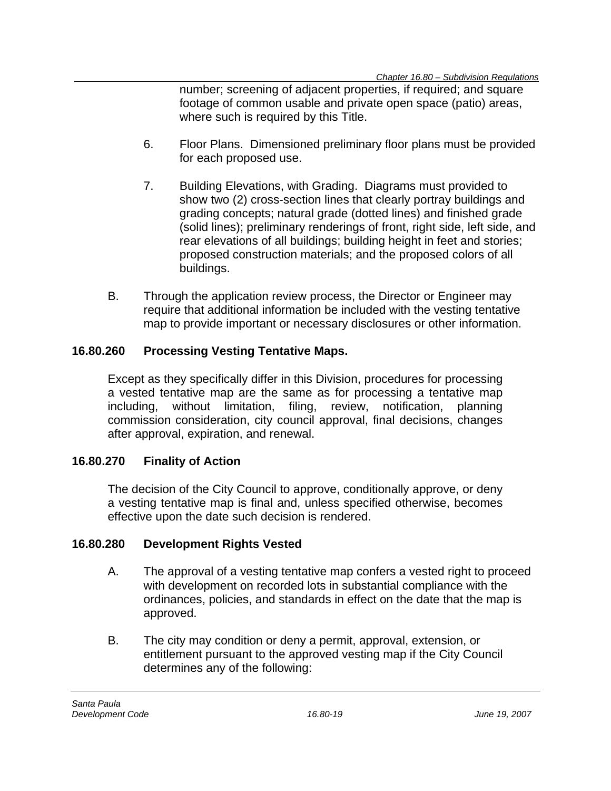number; screening of adjacent properties, if required; and square footage of common usable and private open space (patio) areas, where such is required by this Title.

- 6. Floor Plans. Dimensioned preliminary floor plans must be provided for each proposed use.
- 7. Building Elevations, with Grading. Diagrams must provided to show two (2) cross-section lines that clearly portray buildings and grading concepts; natural grade (dotted lines) and finished grade (solid lines); preliminary renderings of front, right side, left side, and rear elevations of all buildings; building height in feet and stories; proposed construction materials; and the proposed colors of all buildings.
- B. Through the application review process, the Director or Engineer may require that additional information be included with the vesting tentative map to provide important or necessary disclosures or other information.

## **16.80.260 Processing Vesting Tentative Maps.**

Except as they specifically differ in this Division, procedures for processing a vested tentative map are the same as for processing a tentative map including, without limitation, filing, review, notification, planning commission consideration, city council approval, final decisions, changes after approval, expiration, and renewal.

## **16.80.270 Finality of Action**

The decision of the City Council to approve, conditionally approve, or deny a vesting tentative map is final and, unless specified otherwise, becomes effective upon the date such decision is rendered.

## **16.80.280 Development Rights Vested**

- A. The approval of a vesting tentative map confers a vested right to proceed with development on recorded lots in substantial compliance with the ordinances, policies, and standards in effect on the date that the map is approved.
- B. The city may condition or deny a permit, approval, extension, or entitlement pursuant to the approved vesting map if the City Council determines any of the following: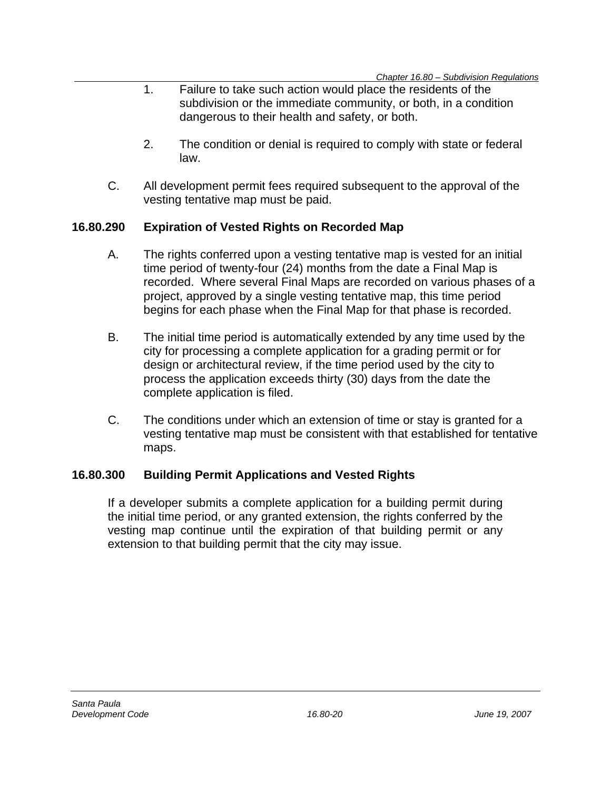- 1. Failure to take such action would place the residents of the subdivision or the immediate community, or both, in a condition dangerous to their health and safety, or both.
- 2. The condition or denial is required to comply with state or federal law.
- C. All development permit fees required subsequent to the approval of the vesting tentative map must be paid.

## **16.80.290 Expiration of Vested Rights on Recorded Map**

- A. The rights conferred upon a vesting tentative map is vested for an initial time period of twenty-four (24) months from the date a Final Map is recorded. Where several Final Maps are recorded on various phases of a project, approved by a single vesting tentative map, this time period begins for each phase when the Final Map for that phase is recorded.
- B. The initial time period is automatically extended by any time used by the city for processing a complete application for a grading permit or for design or architectural review, if the time period used by the city to process the application exceeds thirty (30) days from the date the complete application is filed.
- C. The conditions under which an extension of time or stay is granted for a vesting tentative map must be consistent with that established for tentative maps.

### **16.80.300 Building Permit Applications and Vested Rights**

If a developer submits a complete application for a building permit during the initial time period, or any granted extension, the rights conferred by the vesting map continue until the expiration of that building permit or any extension to that building permit that the city may issue.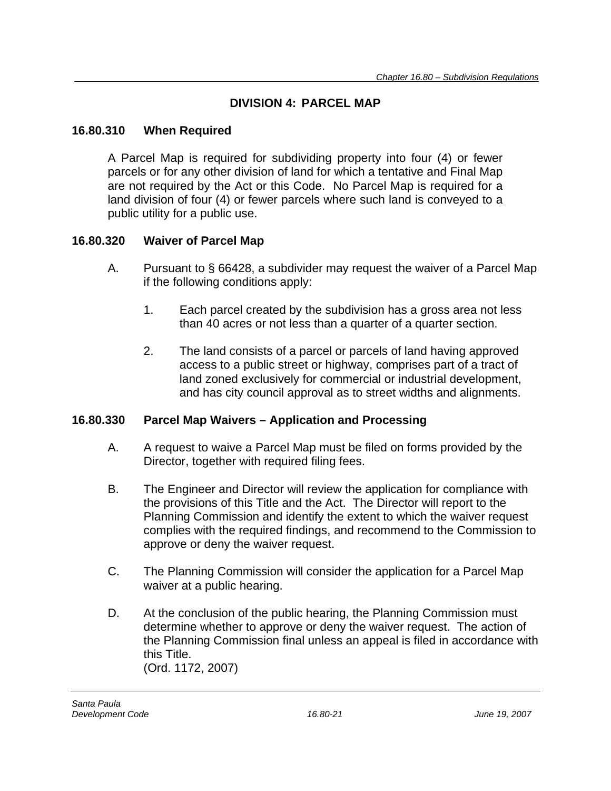## **DIVISION 4: PARCEL MAP**

## **16.80.310 When Required**

A Parcel Map is required for subdividing property into four (4) or fewer parcels or for any other division of land for which a tentative and Final Map are not required by the Act or this Code. No Parcel Map is required for a land division of four (4) or fewer parcels where such land is conveyed to a public utility for a public use.

## **16.80.320 Waiver of Parcel Map**

- A. Pursuant to § 66428, a subdivider may request the waiver of a Parcel Map if the following conditions apply:
	- 1. Each parcel created by the subdivision has a gross area not less than 40 acres or not less than a quarter of a quarter section.
	- 2. The land consists of a parcel or parcels of land having approved access to a public street or highway, comprises part of a tract of land zoned exclusively for commercial or industrial development, and has city council approval as to street widths and alignments.

## **16.80.330 Parcel Map Waivers – Application and Processing**

- A. A request to waive a Parcel Map must be filed on forms provided by the Director, together with required filing fees.
- B. The Engineer and Director will review the application for compliance with the provisions of this Title and the Act. The Director will report to the Planning Commission and identify the extent to which the waiver request complies with the required findings, and recommend to the Commission to approve or deny the waiver request.
- C. The Planning Commission will consider the application for a Parcel Map waiver at a public hearing.
- D. At the conclusion of the public hearing, the Planning Commission must determine whether to approve or deny the waiver request. The action of the Planning Commission final unless an appeal is filed in accordance with this Title. (Ord. 1172, 2007)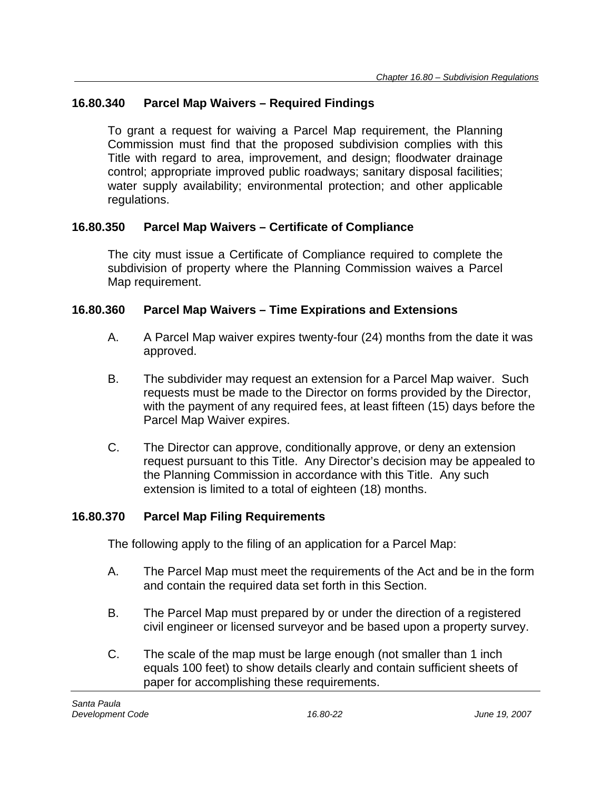## **16.80.340 Parcel Map Waivers – Required Findings**

To grant a request for waiving a Parcel Map requirement, the Planning Commission must find that the proposed subdivision complies with this Title with regard to area, improvement, and design; floodwater drainage control; appropriate improved public roadways; sanitary disposal facilities; water supply availability; environmental protection; and other applicable regulations.

## **16.80.350 Parcel Map Waivers – Certificate of Compliance**

The city must issue a Certificate of Compliance required to complete the subdivision of property where the Planning Commission waives a Parcel Map requirement.

### **16.80.360 Parcel Map Waivers – Time Expirations and Extensions**

- A. A Parcel Map waiver expires twenty-four (24) months from the date it was approved.
- B. The subdivider may request an extension for a Parcel Map waiver. Such requests must be made to the Director on forms provided by the Director, with the payment of any required fees, at least fifteen (15) days before the Parcel Map Waiver expires.
- C. The Director can approve, conditionally approve, or deny an extension request pursuant to this Title. Any Director's decision may be appealed to the Planning Commission in accordance with this Title. Any such extension is limited to a total of eighteen (18) months.

### **16.80.370 Parcel Map Filing Requirements**

The following apply to the filing of an application for a Parcel Map:

- A. The Parcel Map must meet the requirements of the Act and be in the form and contain the required data set forth in this Section.
- B. The Parcel Map must prepared by or under the direction of a registered civil engineer or licensed surveyor and be based upon a property survey.
- C. The scale of the map must be large enough (not smaller than 1 inch equals 100 feet) to show details clearly and contain sufficient sheets of paper for accomplishing these requirements.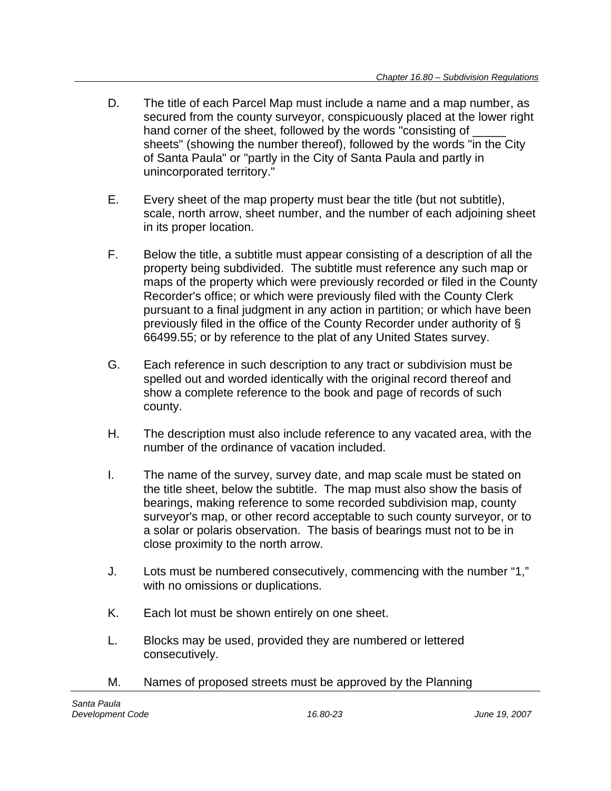- D. The title of each Parcel Map must include a name and a map number, as secured from the county surveyor, conspicuously placed at the lower right hand corner of the sheet, followed by the words "consisting of sheets" (showing the number thereof), followed by the words "in the City of Santa Paula" or "partly in the City of Santa Paula and partly in unincorporated territory."
- E. Every sheet of the map property must bear the title (but not subtitle), scale, north arrow, sheet number, and the number of each adjoining sheet in its proper location.
- F. Below the title, a subtitle must appear consisting of a description of all the property being subdivided. The subtitle must reference any such map or maps of the property which were previously recorded or filed in the County Recorder's office; or which were previously filed with the County Clerk pursuant to a final judgment in any action in partition; or which have been previously filed in the office of the County Recorder under authority of § 66499.55; or by reference to the plat of any United States survey.
- G. Each reference in such description to any tract or subdivision must be spelled out and worded identically with the original record thereof and show a complete reference to the book and page of records of such county.
- H. The description must also include reference to any vacated area, with the number of the ordinance of vacation included.
- I. The name of the survey, survey date, and map scale must be stated on the title sheet, below the subtitle. The map must also show the basis of bearings, making reference to some recorded subdivision map, county surveyor's map, or other record acceptable to such county surveyor, or to a solar or polaris observation. The basis of bearings must not to be in close proximity to the north arrow.
- J. Lots must be numbered consecutively, commencing with the number "1," with no omissions or duplications.
- K. Each lot must be shown entirely on one sheet.
- L. Blocks may be used, provided they are numbered or lettered consecutively.
- M. Names of proposed streets must be approved by the Planning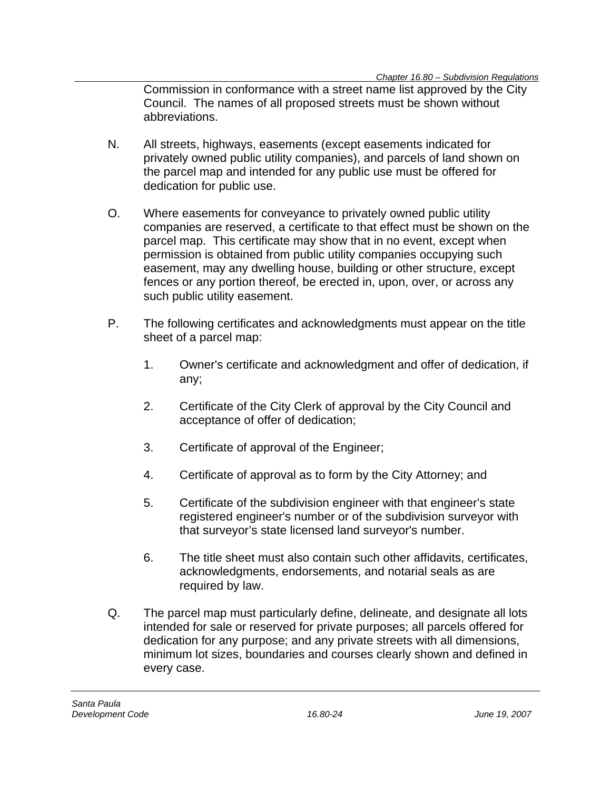Commission in conformance with a street name list approved by the City Council. The names of all proposed streets must be shown without abbreviations.

- N. All streets, highways, easements (except easements indicated for privately owned public utility companies), and parcels of land shown on the parcel map and intended for any public use must be offered for dedication for public use.
- O. Where easements for conveyance to privately owned public utility companies are reserved, a certificate to that effect must be shown on the parcel map. This certificate may show that in no event, except when permission is obtained from public utility companies occupying such easement, may any dwelling house, building or other structure, except fences or any portion thereof, be erected in, upon, over, or across any such public utility easement.
- P. The following certificates and acknowledgments must appear on the title sheet of a parcel map:
	- 1. Owner's certificate and acknowledgment and offer of dedication, if any;
	- 2. Certificate of the City Clerk of approval by the City Council and acceptance of offer of dedication;
	- 3. Certificate of approval of the Engineer;
	- 4. Certificate of approval as to form by the City Attorney; and
	- 5. Certificate of the subdivision engineer with that engineer's state registered engineer's number or of the subdivision surveyor with that surveyor's state licensed land surveyor's number.
	- 6. The title sheet must also contain such other affidavits, certificates, acknowledgments, endorsements, and notarial seals as are required by law.
- Q. The parcel map must particularly define, delineate, and designate all lots intended for sale or reserved for private purposes; all parcels offered for dedication for any purpose; and any private streets with all dimensions, minimum lot sizes, boundaries and courses clearly shown and defined in every case.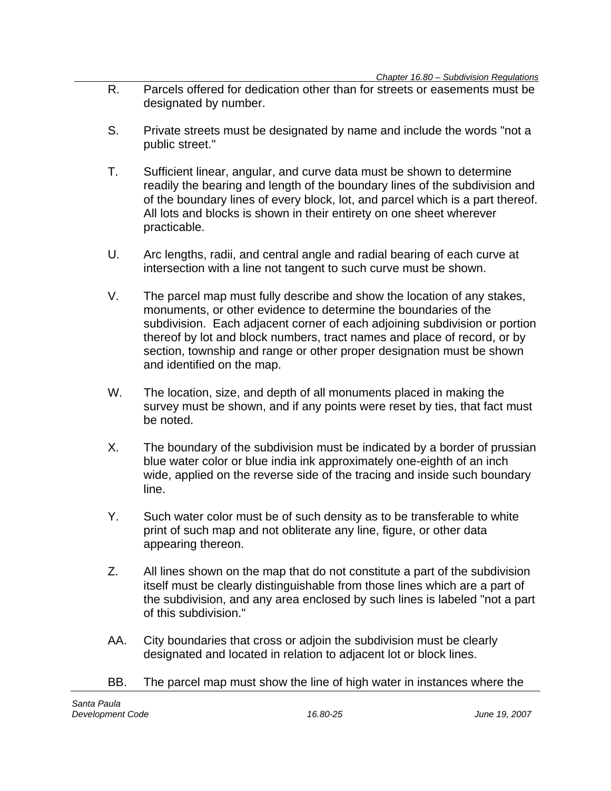- R. Parcels offered for dedication other than for streets or easements must be designated by number.
- S. Private streets must be designated by name and include the words "not a public street."
- T. Sufficient linear, angular, and curve data must be shown to determine readily the bearing and length of the boundary lines of the subdivision and of the boundary lines of every block, lot, and parcel which is a part thereof. All lots and blocks is shown in their entirety on one sheet wherever practicable.
- U. Arc lengths, radii, and central angle and radial bearing of each curve at intersection with a line not tangent to such curve must be shown.
- V. The parcel map must fully describe and show the location of any stakes, monuments, or other evidence to determine the boundaries of the subdivision. Each adjacent corner of each adjoining subdivision or portion thereof by lot and block numbers, tract names and place of record, or by section, township and range or other proper designation must be shown and identified on the map.
- W. The location, size, and depth of all monuments placed in making the survey must be shown, and if any points were reset by ties, that fact must be noted.
- X. The boundary of the subdivision must be indicated by a border of prussian blue water color or blue india ink approximately one-eighth of an inch wide, applied on the reverse side of the tracing and inside such boundary line.
- Y. Such water color must be of such density as to be transferable to white print of such map and not obliterate any line, figure, or other data appearing thereon.
- Z. All lines shown on the map that do not constitute a part of the subdivision itself must be clearly distinguishable from those lines which are a part of the subdivision, and any area enclosed by such lines is labeled "not a part of this subdivision."
- AA. City boundaries that cross or adjoin the subdivision must be clearly designated and located in relation to adjacent lot or block lines.
- BB. The parcel map must show the line of high water in instances where the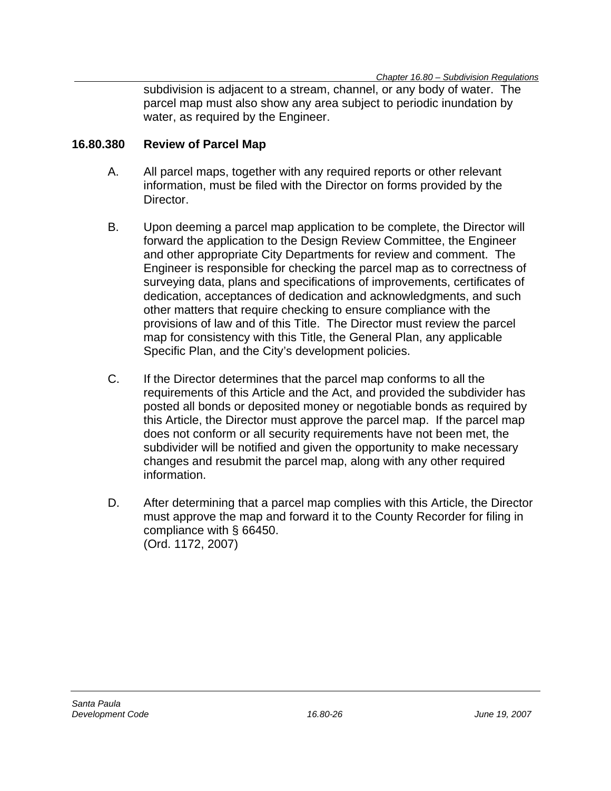subdivision is adjacent to a stream, channel, or any body of water. The parcel map must also show any area subject to periodic inundation by water, as required by the Engineer.

### **16.80.380 Review of Parcel Map**

- A. All parcel maps, together with any required reports or other relevant information, must be filed with the Director on forms provided by the Director.
- B. Upon deeming a parcel map application to be complete, the Director will forward the application to the Design Review Committee, the Engineer and other appropriate City Departments for review and comment. The Engineer is responsible for checking the parcel map as to correctness of surveying data, plans and specifications of improvements, certificates of dedication, acceptances of dedication and acknowledgments, and such other matters that require checking to ensure compliance with the provisions of law and of this Title. The Director must review the parcel map for consistency with this Title, the General Plan, any applicable Specific Plan, and the City's development policies.
- C. If the Director determines that the parcel map conforms to all the requirements of this Article and the Act, and provided the subdivider has posted all bonds or deposited money or negotiable bonds as required by this Article, the Director must approve the parcel map. If the parcel map does not conform or all security requirements have not been met, the subdivider will be notified and given the opportunity to make necessary changes and resubmit the parcel map, along with any other required information.
- D. After determining that a parcel map complies with this Article, the Director must approve the map and forward it to the County Recorder for filing in compliance with § 66450. (Ord. 1172, 2007)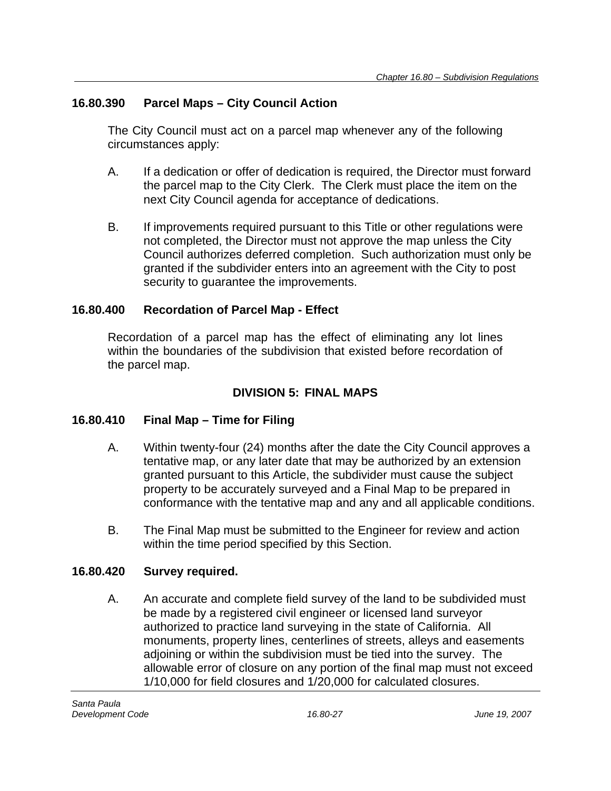## **16.80.390 Parcel Maps – City Council Action**

The City Council must act on a parcel map whenever any of the following circumstances apply:

- A. If a dedication or offer of dedication is required, the Director must forward the parcel map to the City Clerk. The Clerk must place the item on the next City Council agenda for acceptance of dedications.
- B. If improvements required pursuant to this Title or other regulations were not completed, the Director must not approve the map unless the City Council authorizes deferred completion. Such authorization must only be granted if the subdivider enters into an agreement with the City to post security to guarantee the improvements.

## **16.80.400 Recordation of Parcel Map - Effect**

Recordation of a parcel map has the effect of eliminating any lot lines within the boundaries of the subdivision that existed before recordation of the parcel map.

## **DIVISION 5: FINAL MAPS**

## **16.80.410 Final Map – Time for Filing**

- A. Within twenty-four (24) months after the date the City Council approves a tentative map, or any later date that may be authorized by an extension granted pursuant to this Article, the subdivider must cause the subject property to be accurately surveyed and a Final Map to be prepared in conformance with the tentative map and any and all applicable conditions.
- B. The Final Map must be submitted to the Engineer for review and action within the time period specified by this Section.

## **16.80.420 Survey required.**

A. An accurate and complete field survey of the land to be subdivided must be made by a registered civil engineer or licensed land surveyor authorized to practice land surveying in the state of California. All monuments, property lines, centerlines of streets, alleys and easements adjoining or within the subdivision must be tied into the survey. The allowable error of closure on any portion of the final map must not exceed 1/10,000 for field closures and 1/20,000 for calculated closures.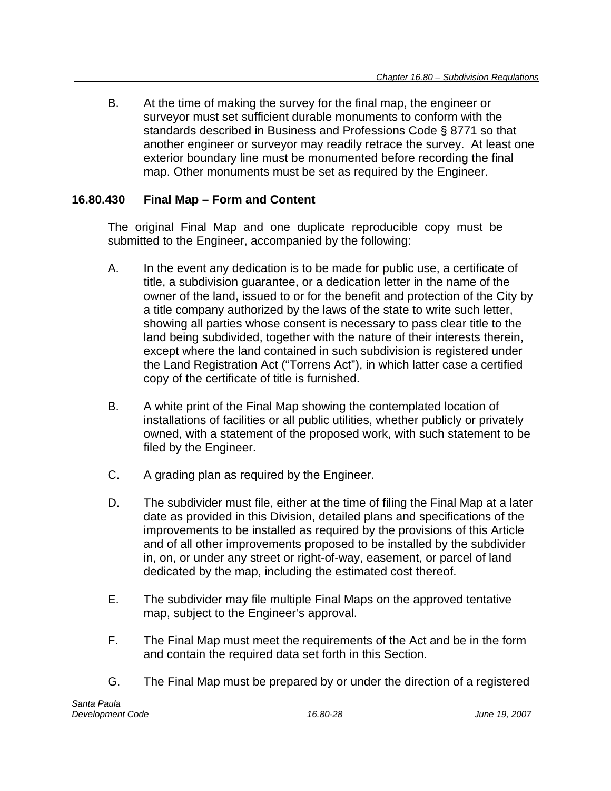B. At the time of making the survey for the final map, the engineer or surveyor must set sufficient durable monuments to conform with the standards described in Business and Professions Code § 8771 so that another engineer or surveyor may readily retrace the survey. At least one exterior boundary line must be monumented before recording the final map. Other monuments must be set as required by the Engineer.

### **16.80.430 Final Map – Form and Content**

The original Final Map and one duplicate reproducible copy must be submitted to the Engineer, accompanied by the following:

- A. In the event any dedication is to be made for public use, a certificate of title, a subdivision guarantee, or a dedication letter in the name of the owner of the land, issued to or for the benefit and protection of the City by a title company authorized by the laws of the state to write such letter, showing all parties whose consent is necessary to pass clear title to the land being subdivided, together with the nature of their interests therein, except where the land contained in such subdivision is registered under the Land Registration Act ("Torrens Act"), in which latter case a certified copy of the certificate of title is furnished.
- B. A white print of the Final Map showing the contemplated location of installations of facilities or all public utilities, whether publicly or privately owned, with a statement of the proposed work, with such statement to be filed by the Engineer.
- C. A grading plan as required by the Engineer.
- D. The subdivider must file, either at the time of filing the Final Map at a later date as provided in this Division, detailed plans and specifications of the improvements to be installed as required by the provisions of this Article and of all other improvements proposed to be installed by the subdivider in, on, or under any street or right-of-way, easement, or parcel of land dedicated by the map, including the estimated cost thereof.
- E. The subdivider may file multiple Final Maps on the approved tentative map, subject to the Engineer's approval.
- F. The Final Map must meet the requirements of the Act and be in the form and contain the required data set forth in this Section.
- G. The Final Map must be prepared by or under the direction of a registered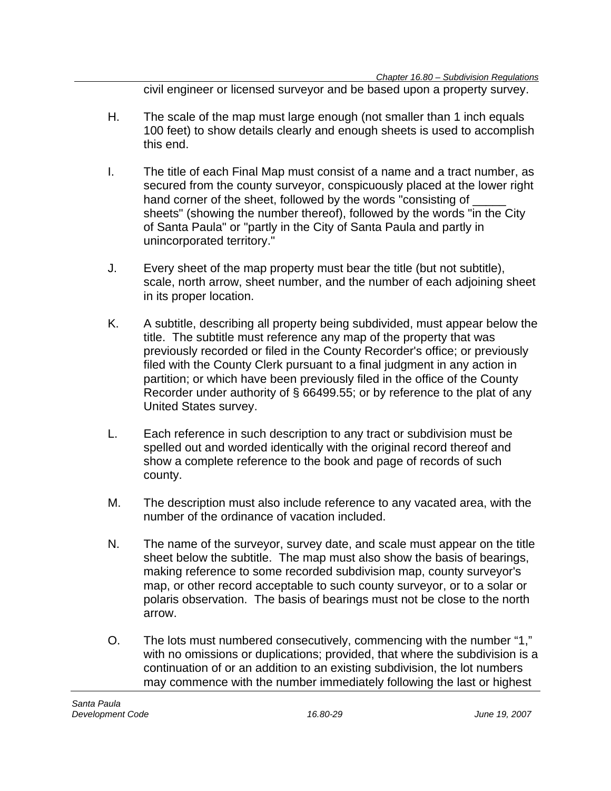civil engineer or licensed surveyor and be based upon a property survey.

- H. The scale of the map must large enough (not smaller than 1 inch equals 100 feet) to show details clearly and enough sheets is used to accomplish this end.
- I. The title of each Final Map must consist of a name and a tract number, as secured from the county surveyor, conspicuously placed at the lower right hand corner of the sheet, followed by the words "consisting of sheets" (showing the number thereof), followed by the words "in the City of Santa Paula" or "partly in the City of Santa Paula and partly in unincorporated territory."
- J. Every sheet of the map property must bear the title (but not subtitle), scale, north arrow, sheet number, and the number of each adjoining sheet in its proper location.
- K. A subtitle, describing all property being subdivided, must appear below the title. The subtitle must reference any map of the property that was previously recorded or filed in the County Recorder's office; or previously filed with the County Clerk pursuant to a final judgment in any action in partition; or which have been previously filed in the office of the County Recorder under authority of § 66499.55; or by reference to the plat of any United States survey.
- L. Each reference in such description to any tract or subdivision must be spelled out and worded identically with the original record thereof and show a complete reference to the book and page of records of such county.
- M. The description must also include reference to any vacated area, with the number of the ordinance of vacation included.
- N. The name of the surveyor, survey date, and scale must appear on the title sheet below the subtitle. The map must also show the basis of bearings, making reference to some recorded subdivision map, county surveyor's map, or other record acceptable to such county surveyor, or to a solar or polaris observation. The basis of bearings must not be close to the north arrow.
- O. The lots must numbered consecutively, commencing with the number "1," with no omissions or duplications; provided, that where the subdivision is a continuation of or an addition to an existing subdivision, the lot numbers may commence with the number immediately following the last or highest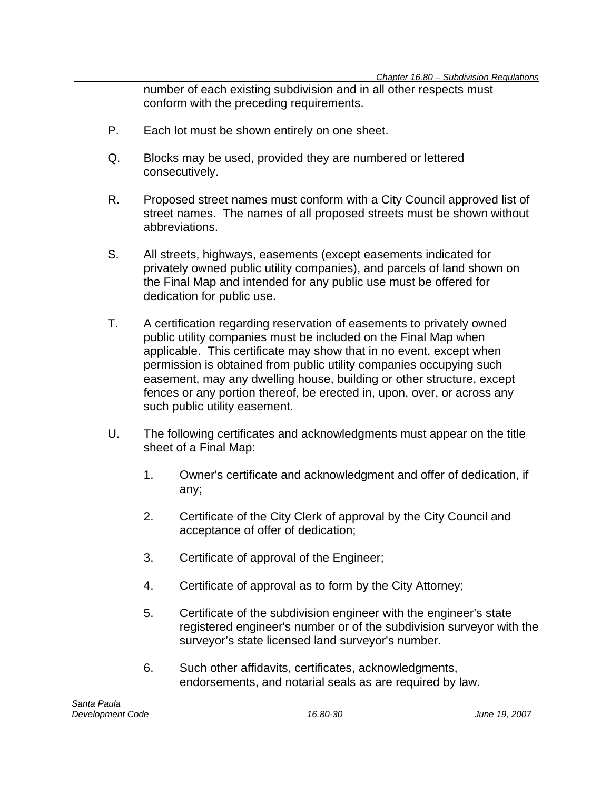number of each existing subdivision and in all other respects must conform with the preceding requirements.

- P. Each lot must be shown entirely on one sheet.
- Q. Blocks may be used, provided they are numbered or lettered consecutively.
- R. Proposed street names must conform with a City Council approved list of street names. The names of all proposed streets must be shown without abbreviations.
- S. All streets, highways, easements (except easements indicated for privately owned public utility companies), and parcels of land shown on the Final Map and intended for any public use must be offered for dedication for public use.
- T. A certification regarding reservation of easements to privately owned public utility companies must be included on the Final Map when applicable. This certificate may show that in no event, except when permission is obtained from public utility companies occupying such easement, may any dwelling house, building or other structure, except fences or any portion thereof, be erected in, upon, over, or across any such public utility easement.
- U. The following certificates and acknowledgments must appear on the title sheet of a Final Map:
	- 1. Owner's certificate and acknowledgment and offer of dedication, if any;
	- 2. Certificate of the City Clerk of approval by the City Council and acceptance of offer of dedication;
	- 3. Certificate of approval of the Engineer;
	- 4. Certificate of approval as to form by the City Attorney;
	- 5. Certificate of the subdivision engineer with the engineer's state registered engineer's number or of the subdivision surveyor with the surveyor's state licensed land surveyor's number.
	- 6. Such other affidavits, certificates, acknowledgments, endorsements, and notarial seals as are required by law.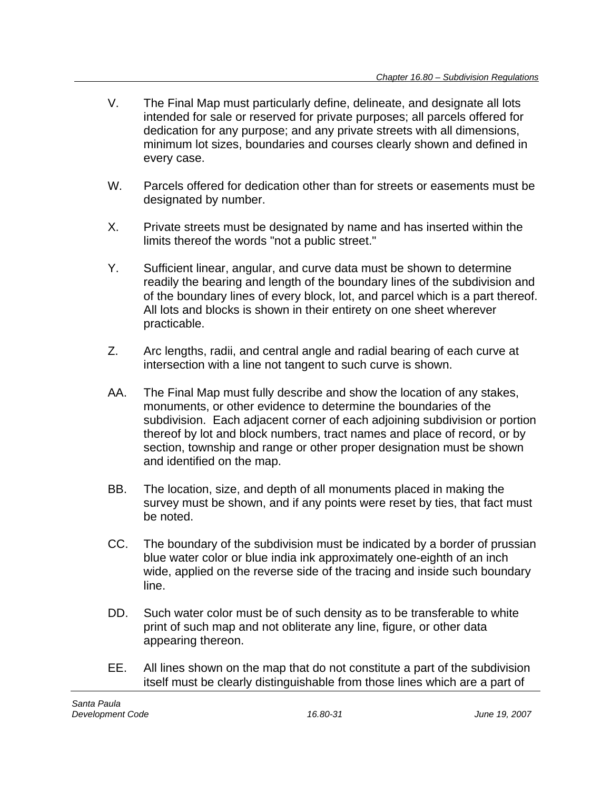- V. The Final Map must particularly define, delineate, and designate all lots intended for sale or reserved for private purposes; all parcels offered for dedication for any purpose; and any private streets with all dimensions, minimum lot sizes, boundaries and courses clearly shown and defined in every case.
- W. Parcels offered for dedication other than for streets or easements must be designated by number.
- X. Private streets must be designated by name and has inserted within the limits thereof the words "not a public street."
- Y. Sufficient linear, angular, and curve data must be shown to determine readily the bearing and length of the boundary lines of the subdivision and of the boundary lines of every block, lot, and parcel which is a part thereof. All lots and blocks is shown in their entirety on one sheet wherever practicable.
- Z. Arc lengths, radii, and central angle and radial bearing of each curve at intersection with a line not tangent to such curve is shown.
- AA. The Final Map must fully describe and show the location of any stakes, monuments, or other evidence to determine the boundaries of the subdivision. Each adjacent corner of each adjoining subdivision or portion thereof by lot and block numbers, tract names and place of record, or by section, township and range or other proper designation must be shown and identified on the map.
- BB. The location, size, and depth of all monuments placed in making the survey must be shown, and if any points were reset by ties, that fact must be noted.
- CC. The boundary of the subdivision must be indicated by a border of prussian blue water color or blue india ink approximately one-eighth of an inch wide, applied on the reverse side of the tracing and inside such boundary line.
- DD. Such water color must be of such density as to be transferable to white print of such map and not obliterate any line, figure, or other data appearing thereon.
- EE. All lines shown on the map that do not constitute a part of the subdivision itself must be clearly distinguishable from those lines which are a part of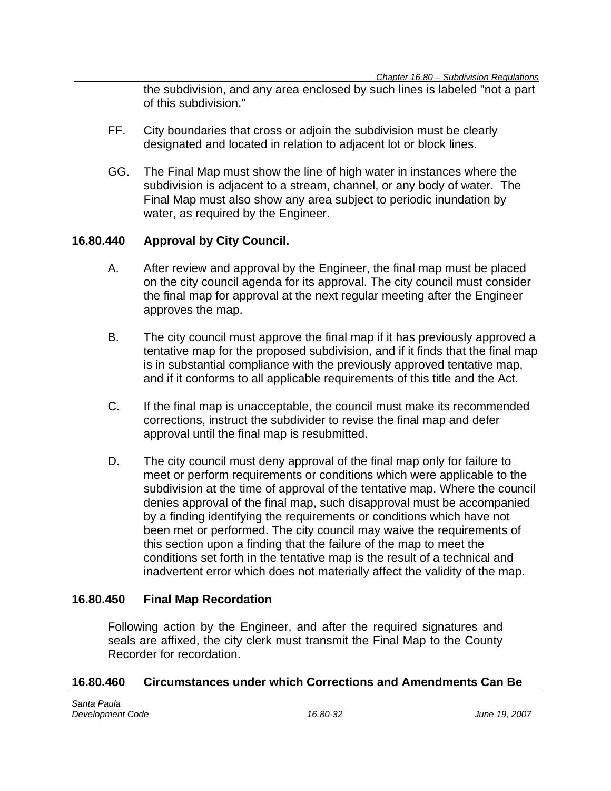the subdivision, and any area enclosed by such lines is labeled "not a part of this subdivision."

- FF. City boundaries that cross or adjoin the subdivision must be clearly designated and located in relation to adjacent lot or block lines.
- GG. The Final Map must show the line of high water in instances where the subdivision is adjacent to a stream, channel, or any body of water. The Final Map must also show any area subject to periodic inundation by water, as required by the Engineer.

### **16.80.440 Approval by City Council.**

- A. After review and approval by the Engineer, the final map must be placed on the city council agenda for its approval. The city council must consider the final map for approval at the next regular meeting after the Engineer approves the map.
- B. The city council must approve the final map if it has previously approved a tentative map for the proposed subdivision, and if it finds that the final map is in substantial compliance with the previously approved tentative map, and if it conforms to all applicable requirements of this title and the Act.
- C. If the final map is unacceptable, the council must make its recommended corrections, instruct the subdivider to revise the final map and defer approval until the final map is resubmitted.
- D. The city council must deny approval of the final map only for failure to meet or perform requirements or conditions which were applicable to the subdivision at the time of approval of the tentative map. Where the council denies approval of the final map, such disapproval must be accompanied by a finding identifying the requirements or conditions which have not been met or performed. The city council may waive the requirements of this section upon a finding that the failure of the map to meet the conditions set forth in the tentative map is the result of a technical and inadvertent error which does not materially affect the validity of the map.

#### **16.80.450 Final Map Recordation**

Following action by the Engineer, and after the required signatures and seals are affixed, the city clerk must transmit the Final Map to the County Recorder for recordation.

#### **16.80.460 Circumstances under which Corrections and Amendments Can Be**

*Santa Paula Development Code 16.80-32 June 19, 2007*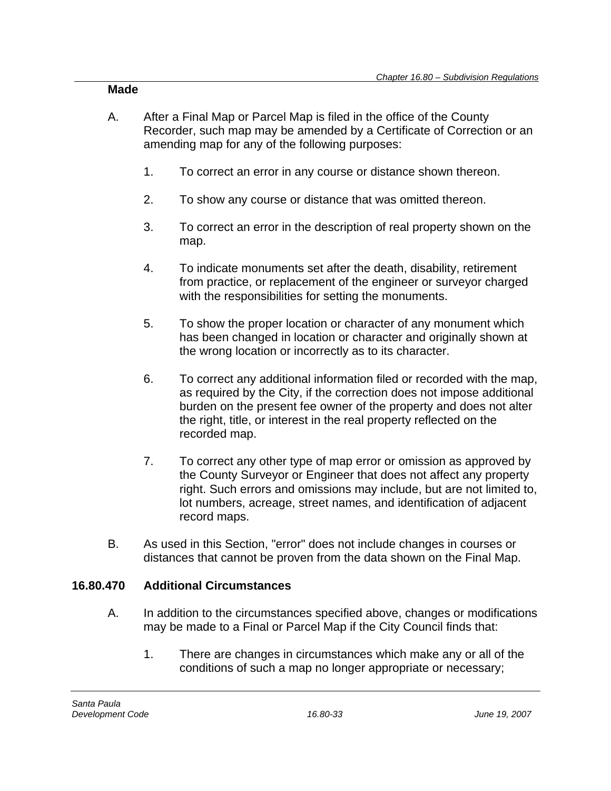#### **Made**

- A. After a Final Map or Parcel Map is filed in the office of the County Recorder, such map may be amended by a Certificate of Correction or an amending map for any of the following purposes:
	- 1. To correct an error in any course or distance shown thereon.
	- 2. To show any course or distance that was omitted thereon.
	- 3. To correct an error in the description of real property shown on the map.
	- 4. To indicate monuments set after the death, disability, retirement from practice, or replacement of the engineer or surveyor charged with the responsibilities for setting the monuments.
	- 5. To show the proper location or character of any monument which has been changed in location or character and originally shown at the wrong location or incorrectly as to its character.
	- 6. To correct any additional information filed or recorded with the map, as required by the City, if the correction does not impose additional burden on the present fee owner of the property and does not alter the right, title, or interest in the real property reflected on the recorded map.
	- 7. To correct any other type of map error or omission as approved by the County Surveyor or Engineer that does not affect any property right. Such errors and omissions may include, but are not limited to, lot numbers, acreage, street names, and identification of adjacent record maps.
- B. As used in this Section, "error" does not include changes in courses or distances that cannot be proven from the data shown on the Final Map.

## **16.80.470 Additional Circumstances**

- A. In addition to the circumstances specified above, changes or modifications may be made to a Final or Parcel Map if the City Council finds that:
	- 1. There are changes in circumstances which make any or all of the conditions of such a map no longer appropriate or necessary;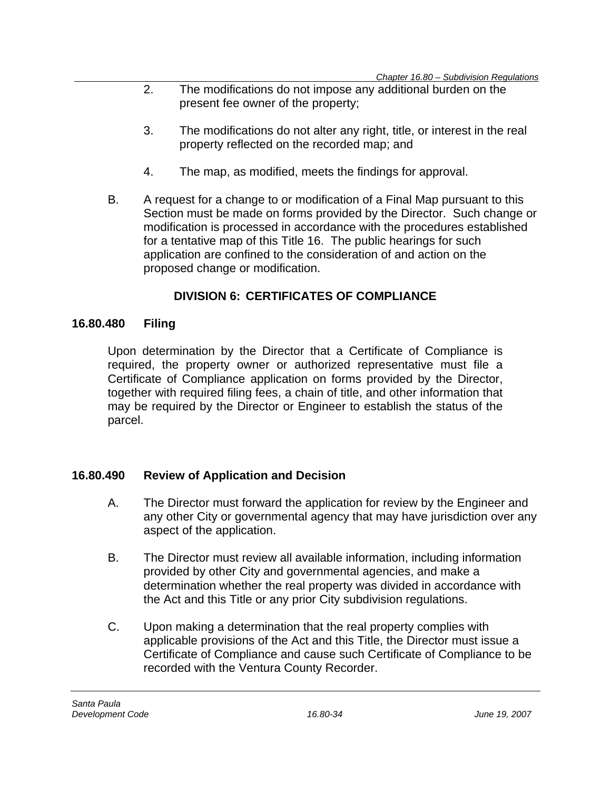- 2. The modifications do not impose any additional burden on the present fee owner of the property;
- 3. The modifications do not alter any right, title, or interest in the real property reflected on the recorded map; and
- 4. The map, as modified, meets the findings for approval.
- B. A request for a change to or modification of a Final Map pursuant to this Section must be made on forms provided by the Director. Such change or modification is processed in accordance with the procedures established for a tentative map of this Title 16. The public hearings for such application are confined to the consideration of and action on the proposed change or modification.

## **DIVISION 6: CERTIFICATES OF COMPLIANCE**

## **16.80.480 Filing**

Upon determination by the Director that a Certificate of Compliance is required, the property owner or authorized representative must file a Certificate of Compliance application on forms provided by the Director, together with required filing fees, a chain of title, and other information that may be required by the Director or Engineer to establish the status of the parcel.

## **16.80.490 Review of Application and Decision**

- A. The Director must forward the application for review by the Engineer and any other City or governmental agency that may have jurisdiction over any aspect of the application.
- B. The Director must review all available information, including information provided by other City and governmental agencies, and make a determination whether the real property was divided in accordance with the Act and this Title or any prior City subdivision regulations.
- C. Upon making a determination that the real property complies with applicable provisions of the Act and this Title, the Director must issue a Certificate of Compliance and cause such Certificate of Compliance to be recorded with the Ventura County Recorder.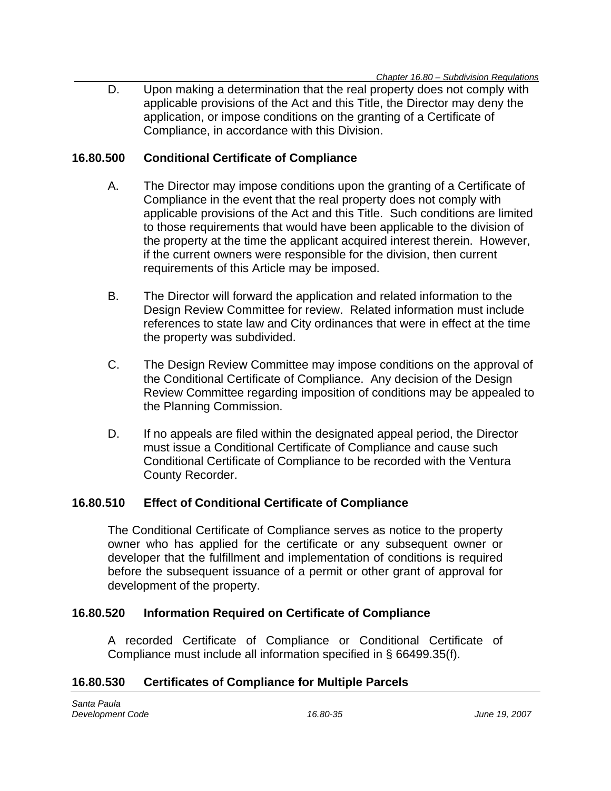D. Upon making a determination that the real property does not comply with applicable provisions of the Act and this Title, the Director may deny the application, or impose conditions on the granting of a Certificate of Compliance, in accordance with this Division.

### **16.80.500 Conditional Certificate of Compliance**

- A. The Director may impose conditions upon the granting of a Certificate of Compliance in the event that the real property does not comply with applicable provisions of the Act and this Title. Such conditions are limited to those requirements that would have been applicable to the division of the property at the time the applicant acquired interest therein. However, if the current owners were responsible for the division, then current requirements of this Article may be imposed.
- B. The Director will forward the application and related information to the Design Review Committee for review. Related information must include references to state law and City ordinances that were in effect at the time the property was subdivided.
- C. The Design Review Committee may impose conditions on the approval of the Conditional Certificate of Compliance. Any decision of the Design Review Committee regarding imposition of conditions may be appealed to the Planning Commission.
- D. If no appeals are filed within the designated appeal period, the Director must issue a Conditional Certificate of Compliance and cause such Conditional Certificate of Compliance to be recorded with the Ventura County Recorder.

### **16.80.510 Effect of Conditional Certificate of Compliance**

The Conditional Certificate of Compliance serves as notice to the property owner who has applied for the certificate or any subsequent owner or developer that the fulfillment and implementation of conditions is required before the subsequent issuance of a permit or other grant of approval for development of the property.

#### **16.80.520 Information Required on Certificate of Compliance**

A recorded Certificate of Compliance or Conditional Certificate of Compliance must include all information specified in § 66499.35(f).

#### **16.80.530 Certificates of Compliance for Multiple Parcels**

*Santa Paula Development Code 16.80-35 June 19, 2007*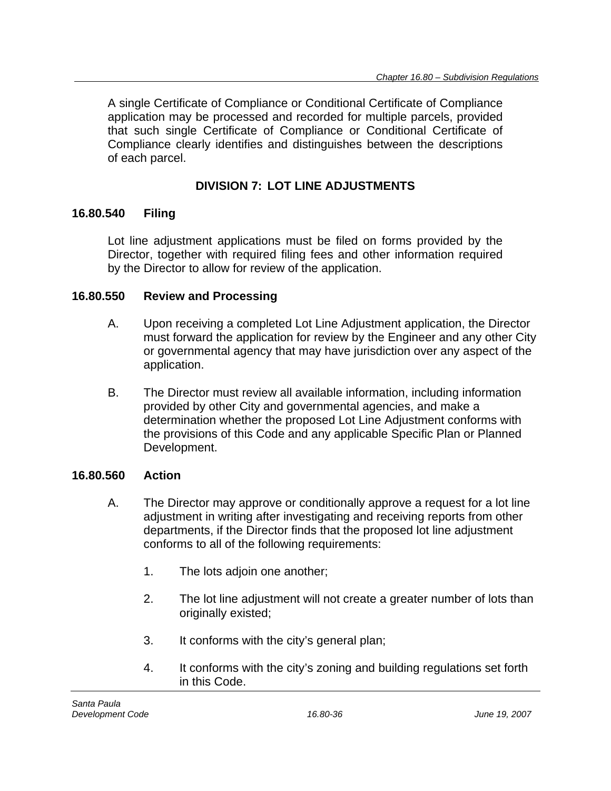A single Certificate of Compliance or Conditional Certificate of Compliance application may be processed and recorded for multiple parcels, provided that such single Certificate of Compliance or Conditional Certificate of Compliance clearly identifies and distinguishes between the descriptions of each parcel.

## **DIVISION 7: LOT LINE ADJUSTMENTS**

## **16.80.540 Filing**

Lot line adjustment applications must be filed on forms provided by the Director, together with required filing fees and other information required by the Director to allow for review of the application.

## **16.80.550 Review and Processing**

- A. Upon receiving a completed Lot Line Adjustment application, the Director must forward the application for review by the Engineer and any other City or governmental agency that may have jurisdiction over any aspect of the application.
- B. The Director must review all available information, including information provided by other City and governmental agencies, and make a determination whether the proposed Lot Line Adjustment conforms with the provisions of this Code and any applicable Specific Plan or Planned Development.

## **16.80.560 Action**

- A. The Director may approve or conditionally approve a request for a lot line adjustment in writing after investigating and receiving reports from other departments, if the Director finds that the proposed lot line adjustment conforms to all of the following requirements:
	- 1. The lots adjoin one another;
	- 2. The lot line adjustment will not create a greater number of lots than originally existed;
	- 3. It conforms with the city's general plan;
	- 4. It conforms with the city's zoning and building regulations set forth in this Code.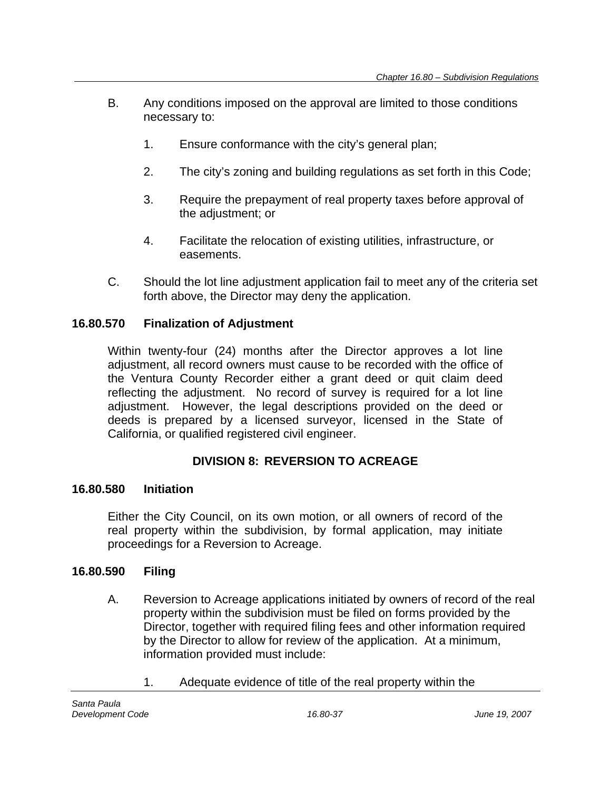- B. Any conditions imposed on the approval are limited to those conditions necessary to:
	- 1. Ensure conformance with the city's general plan;
	- 2. The city's zoning and building regulations as set forth in this Code;
	- 3. Require the prepayment of real property taxes before approval of the adjustment; or
	- 4. Facilitate the relocation of existing utilities, infrastructure, or easements.
- C. Should the lot line adjustment application fail to meet any of the criteria set forth above, the Director may deny the application.

## **16.80.570 Finalization of Adjustment**

Within twenty-four (24) months after the Director approves a lot line adjustment, all record owners must cause to be recorded with the office of the Ventura County Recorder either a grant deed or quit claim deed reflecting the adjustment. No record of survey is required for a lot line adjustment. However, the legal descriptions provided on the deed or deeds is prepared by a licensed surveyor, licensed in the State of California, or qualified registered civil engineer.

## **DIVISION 8: REVERSION TO ACREAGE**

### **16.80.580 Initiation**

Either the City Council, on its own motion, or all owners of record of the real property within the subdivision, by formal application, may initiate proceedings for a Reversion to Acreage.

### **16.80.590 Filing**

- A. Reversion to Acreage applications initiated by owners of record of the real property within the subdivision must be filed on forms provided by the Director, together with required filing fees and other information required by the Director to allow for review of the application. At a minimum, information provided must include:
	- 1. Adequate evidence of title of the real property within the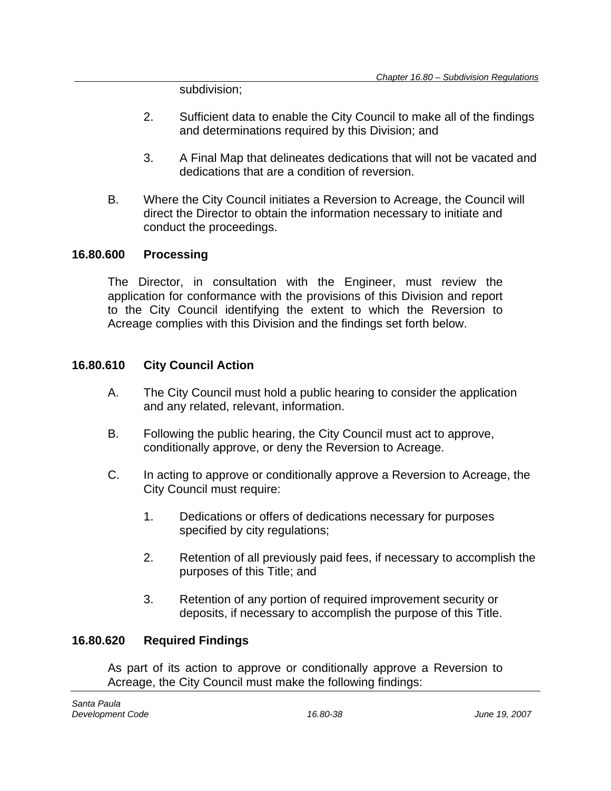subdivision;

- 2. Sufficient data to enable the City Council to make all of the findings and determinations required by this Division; and
- 3. A Final Map that delineates dedications that will not be vacated and dedications that are a condition of reversion.
- B. Where the City Council initiates a Reversion to Acreage, the Council will direct the Director to obtain the information necessary to initiate and conduct the proceedings.

### **16.80.600 Processing**

The Director, in consultation with the Engineer, must review the application for conformance with the provisions of this Division and report to the City Council identifying the extent to which the Reversion to Acreage complies with this Division and the findings set forth below.

### **16.80.610 City Council Action**

- A. The City Council must hold a public hearing to consider the application and any related, relevant, information.
- B. Following the public hearing, the City Council must act to approve, conditionally approve, or deny the Reversion to Acreage.
- C. In acting to approve or conditionally approve a Reversion to Acreage, the City Council must require:
	- 1. Dedications or offers of dedications necessary for purposes specified by city regulations;
	- 2. Retention of all previously paid fees, if necessary to accomplish the purposes of this Title; and
	- 3. Retention of any portion of required improvement security or deposits, if necessary to accomplish the purpose of this Title.

### **16.80.620 Required Findings**

As part of its action to approve or conditionally approve a Reversion to Acreage, the City Council must make the following findings: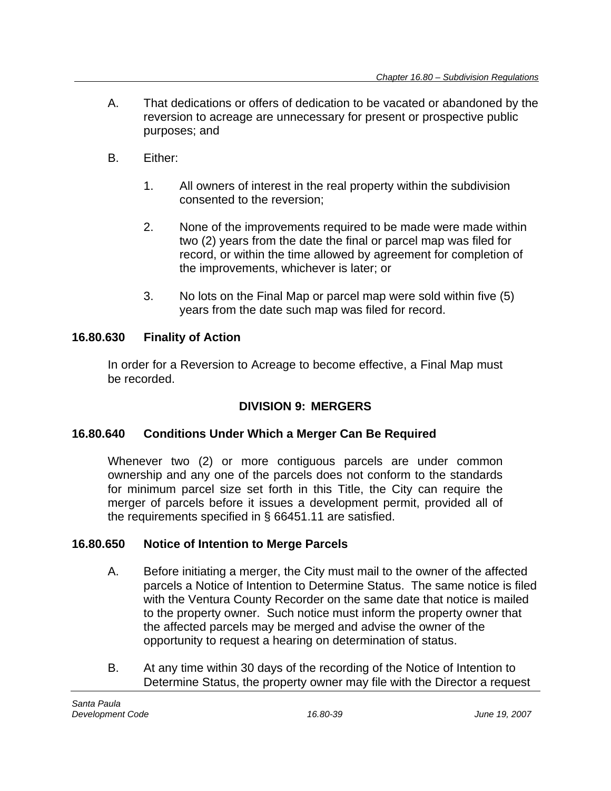- A. That dedications or offers of dedication to be vacated or abandoned by the reversion to acreage are unnecessary for present or prospective public purposes; and
- B. Either:
	- 1. All owners of interest in the real property within the subdivision consented to the reversion;
	- 2. None of the improvements required to be made were made within two (2) years from the date the final or parcel map was filed for record, or within the time allowed by agreement for completion of the improvements, whichever is later; or
	- 3. No lots on the Final Map or parcel map were sold within five (5) years from the date such map was filed for record.

## **16.80.630 Finality of Action**

In order for a Reversion to Acreage to become effective, a Final Map must be recorded.

## **DIVISION 9: MERGERS**

## **16.80.640 Conditions Under Which a Merger Can Be Required**

Whenever two (2) or more contiguous parcels are under common ownership and any one of the parcels does not conform to the standards for minimum parcel size set forth in this Title, the City can require the merger of parcels before it issues a development permit, provided all of the requirements specified in § 66451.11 are satisfied.

## **16.80.650 Notice of Intention to Merge Parcels**

- A. Before initiating a merger, the City must mail to the owner of the affected parcels a Notice of Intention to Determine Status. The same notice is filed with the Ventura County Recorder on the same date that notice is mailed to the property owner. Such notice must inform the property owner that the affected parcels may be merged and advise the owner of the opportunity to request a hearing on determination of status.
- B. At any time within 30 days of the recording of the Notice of Intention to Determine Status, the property owner may file with the Director a request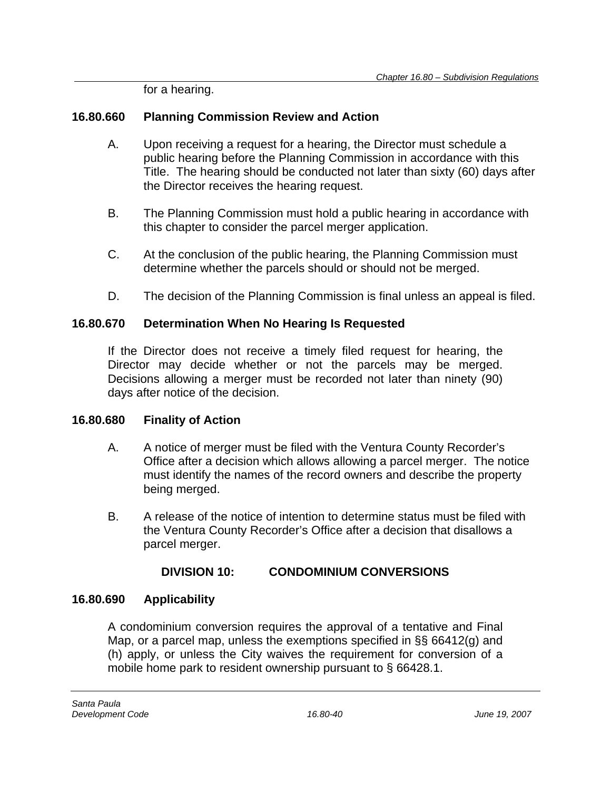for a hearing.

## **16.80.660 Planning Commission Review and Action**

- A. Upon receiving a request for a hearing, the Director must schedule a public hearing before the Planning Commission in accordance with this Title. The hearing should be conducted not later than sixty (60) days after the Director receives the hearing request.
- B. The Planning Commission must hold a public hearing in accordance with this chapter to consider the parcel merger application.
- C. At the conclusion of the public hearing, the Planning Commission must determine whether the parcels should or should not be merged.
- D. The decision of the Planning Commission is final unless an appeal is filed.

## **16.80.670 Determination When No Hearing Is Requested**

If the Director does not receive a timely filed request for hearing, the Director may decide whether or not the parcels may be merged. Decisions allowing a merger must be recorded not later than ninety (90) days after notice of the decision.

## **16.80.680 Finality of Action**

- A. A notice of merger must be filed with the Ventura County Recorder's Office after a decision which allows allowing a parcel merger. The notice must identify the names of the record owners and describe the property being merged.
- B. A release of the notice of intention to determine status must be filed with the Ventura County Recorder's Office after a decision that disallows a parcel merger.

## **DIVISION 10: CONDOMINIUM CONVERSIONS**

## **16.80.690 Applicability**

A condominium conversion requires the approval of a tentative and Final Map, or a parcel map, unless the exemptions specified in §§ 66412(g) and (h) apply, or unless the City waives the requirement for conversion of a mobile home park to resident ownership pursuant to § 66428.1.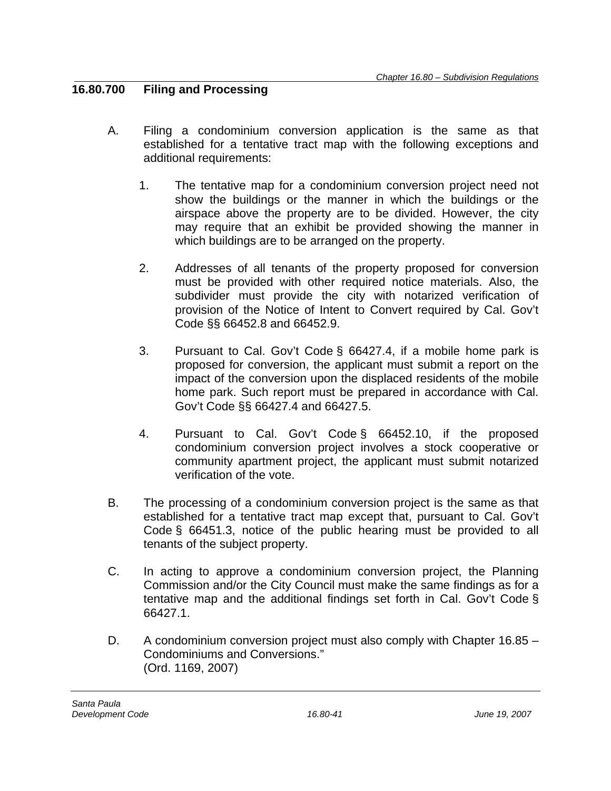### **16.80.700 Filing and Processing**

- A. Filing a condominium conversion application is the same as that established for a tentative tract map with the following exceptions and additional requirements:
	- 1. The tentative map for a condominium conversion project need not show the buildings or the manner in which the buildings or the airspace above the property are to be divided. However, the city may require that an exhibit be provided showing the manner in which buildings are to be arranged on the property.
	- 2. Addresses of all tenants of the property proposed for conversion must be provided with other required notice materials. Also, the subdivider must provide the city with notarized verification of provision of the Notice of Intent to Convert required by Cal. Gov't Code §§ 66452.8 and 66452.9.
	- 3. Pursuant to Cal. Gov't Code § 66427.4, if a mobile home park is proposed for conversion, the applicant must submit a report on the impact of the conversion upon the displaced residents of the mobile home park. Such report must be prepared in accordance with Cal. Gov't Code §§ 66427.4 and 66427.5.
	- 4. Pursuant to Cal. Gov't Code § 66452.10, if the proposed condominium conversion project involves a stock cooperative or community apartment project, the applicant must submit notarized verification of the vote.
- B. The processing of a condominium conversion project is the same as that established for a tentative tract map except that, pursuant to Cal. Gov't Code § 66451.3, notice of the public hearing must be provided to all tenants of the subject property.
- C. In acting to approve a condominium conversion project, the Planning Commission and/or the City Council must make the same findings as for a tentative map and the additional findings set forth in Cal. Gov't Code § 66427.1.
- D. A condominium conversion project must also comply with Chapter 16.85 Condominiums and Conversions." (Ord. 1169, 2007)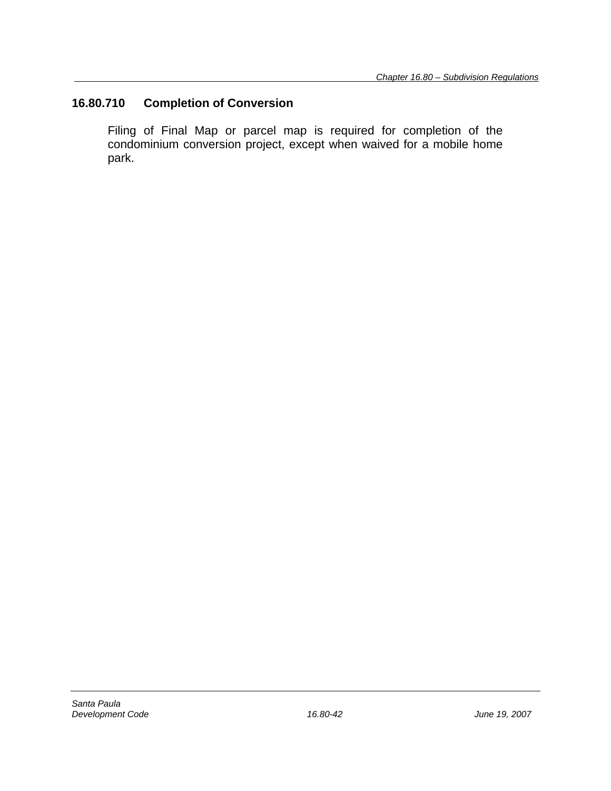## **16.80.710 Completion of Conversion**

Filing of Final Map or parcel map is required for completion of the condominium conversion project, except when waived for a mobile home park.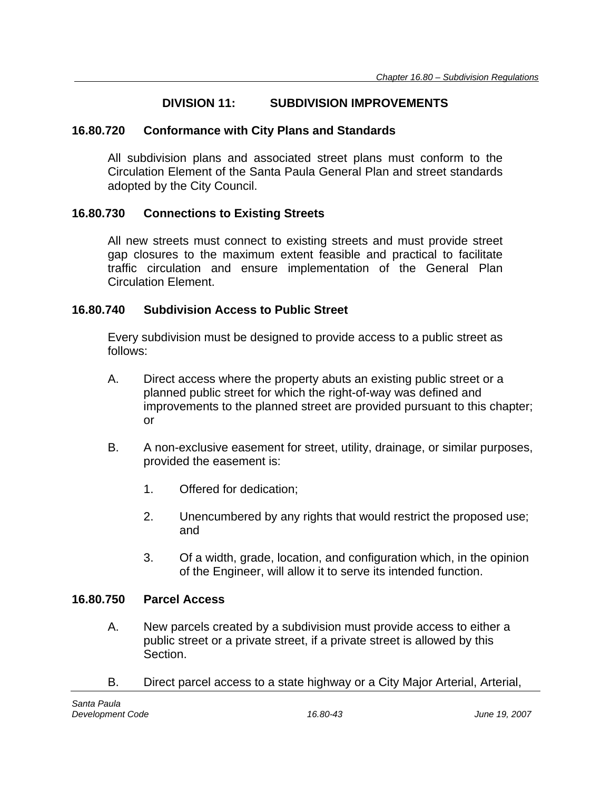## **DIVISION 11: SUBDIVISION IMPROVEMENTS**

### **16.80.720 Conformance with City Plans and Standards**

All subdivision plans and associated street plans must conform to the Circulation Element of the Santa Paula General Plan and street standards adopted by the City Council.

## **16.80.730 Connections to Existing Streets**

All new streets must connect to existing streets and must provide street gap closures to the maximum extent feasible and practical to facilitate traffic circulation and ensure implementation of the General Plan Circulation Element.

### **16.80.740 Subdivision Access to Public Street**

Every subdivision must be designed to provide access to a public street as follows:

- A. Direct access where the property abuts an existing public street or a planned public street for which the right-of-way was defined and improvements to the planned street are provided pursuant to this chapter; or
- B. A non-exclusive easement for street, utility, drainage, or similar purposes, provided the easement is:
	- 1. Offered for dedication;
	- 2. Unencumbered by any rights that would restrict the proposed use; and
	- 3. Of a width, grade, location, and configuration which, in the opinion of the Engineer, will allow it to serve its intended function.

### **16.80.750 Parcel Access**

- A. New parcels created by a subdivision must provide access to either a public street or a private street, if a private street is allowed by this Section.
- B. Direct parcel access to a state highway or a City Major Arterial, Arterial,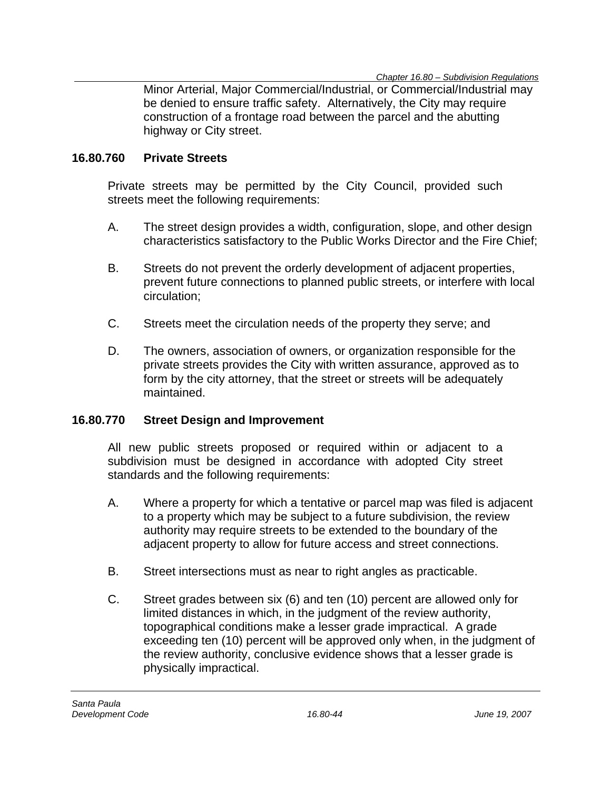Minor Arterial, Major Commercial/Industrial, or Commercial/Industrial may be denied to ensure traffic safety. Alternatively, the City may require construction of a frontage road between the parcel and the abutting highway or City street.

#### **16.80.760 Private Streets**

Private streets may be permitted by the City Council, provided such streets meet the following requirements:

- A. The street design provides a width, configuration, slope, and other design characteristics satisfactory to the Public Works Director and the Fire Chief;
- B. Streets do not prevent the orderly development of adjacent properties, prevent future connections to planned public streets, or interfere with local circulation;
- C. Streets meet the circulation needs of the property they serve; and
- D. The owners, association of owners, or organization responsible for the private streets provides the City with written assurance, approved as to form by the city attorney, that the street or streets will be adequately maintained.

### **16.80.770 Street Design and Improvement**

All new public streets proposed or required within or adjacent to a subdivision must be designed in accordance with adopted City street standards and the following requirements:

- A. Where a property for which a tentative or parcel map was filed is adjacent to a property which may be subject to a future subdivision, the review authority may require streets to be extended to the boundary of the adjacent property to allow for future access and street connections.
- B. Street intersections must as near to right angles as practicable.
- C. Street grades between six (6) and ten (10) percent are allowed only for limited distances in which, in the judgment of the review authority, topographical conditions make a lesser grade impractical. A grade exceeding ten (10) percent will be approved only when, in the judgment of the review authority, conclusive evidence shows that a lesser grade is physically impractical.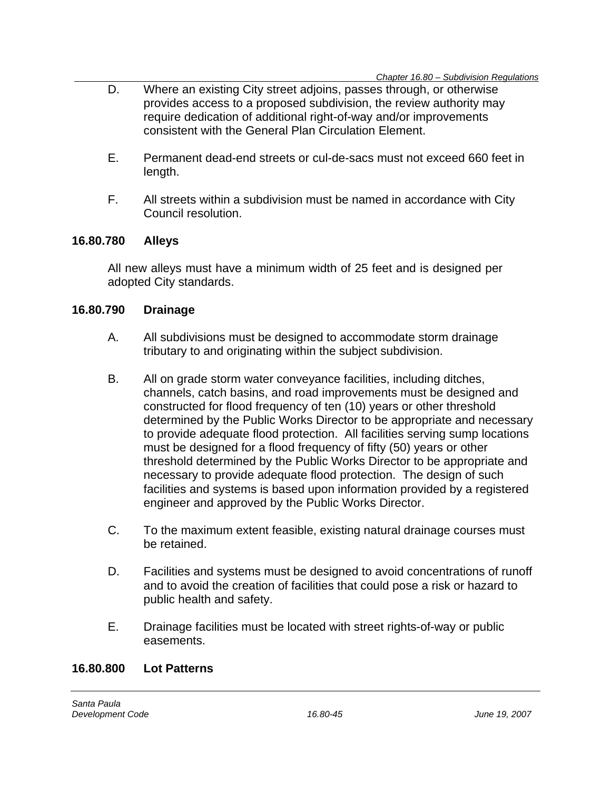- D. Where an existing City street adjoins, passes through, or otherwise provides access to a proposed subdivision, the review authority may require dedication of additional right-of-way and/or improvements consistent with the General Plan Circulation Element.
- E. Permanent dead-end streets or cul-de-sacs must not exceed 660 feet in length.
- F. All streets within a subdivision must be named in accordance with City Council resolution.

### **16.80.780 Alleys**

All new alleys must have a minimum width of 25 feet and is designed per adopted City standards.

### **16.80.790 Drainage**

- A. All subdivisions must be designed to accommodate storm drainage tributary to and originating within the subject subdivision.
- B. All on grade storm water conveyance facilities, including ditches, channels, catch basins, and road improvements must be designed and constructed for flood frequency of ten (10) years or other threshold determined by the Public Works Director to be appropriate and necessary to provide adequate flood protection. All facilities serving sump locations must be designed for a flood frequency of fifty (50) years or other threshold determined by the Public Works Director to be appropriate and necessary to provide adequate flood protection. The design of such facilities and systems is based upon information provided by a registered engineer and approved by the Public Works Director.
- C. To the maximum extent feasible, existing natural drainage courses must be retained.
- D. Facilities and systems must be designed to avoid concentrations of runoff and to avoid the creation of facilities that could pose a risk or hazard to public health and safety.
- E. Drainage facilities must be located with street rights-of-way or public easements.

#### **16.80.800 Lot Patterns**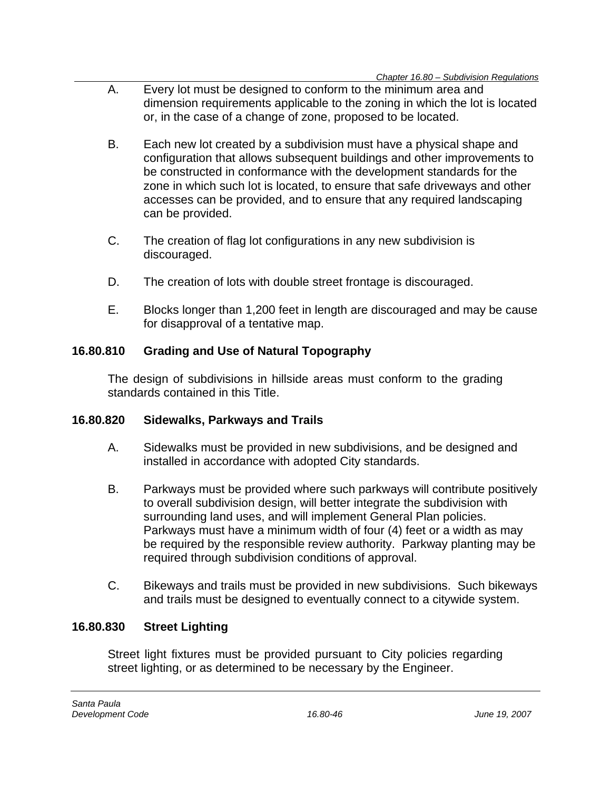- A. Every lot must be designed to conform to the minimum area and dimension requirements applicable to the zoning in which the lot is located or, in the case of a change of zone, proposed to be located.
- B. Each new lot created by a subdivision must have a physical shape and configuration that allows subsequent buildings and other improvements to be constructed in conformance with the development standards for the zone in which such lot is located, to ensure that safe driveways and other accesses can be provided, and to ensure that any required landscaping can be provided.
- C. The creation of flag lot configurations in any new subdivision is discouraged.
- D. The creation of lots with double street frontage is discouraged.
- E. Blocks longer than 1,200 feet in length are discouraged and may be cause for disapproval of a tentative map.

## **16.80.810 Grading and Use of Natural Topography**

The design of subdivisions in hillside areas must conform to the grading standards contained in this Title.

## **16.80.820 Sidewalks, Parkways and Trails**

- A. Sidewalks must be provided in new subdivisions, and be designed and installed in accordance with adopted City standards.
- B. Parkways must be provided where such parkways will contribute positively to overall subdivision design, will better integrate the subdivision with surrounding land uses, and will implement General Plan policies. Parkways must have a minimum width of four (4) feet or a width as may be required by the responsible review authority. Parkway planting may be required through subdivision conditions of approval.
- C. Bikeways and trails must be provided in new subdivisions. Such bikeways and trails must be designed to eventually connect to a citywide system.

## **16.80.830 Street Lighting**

Street light fixtures must be provided pursuant to City policies regarding street lighting, or as determined to be necessary by the Engineer.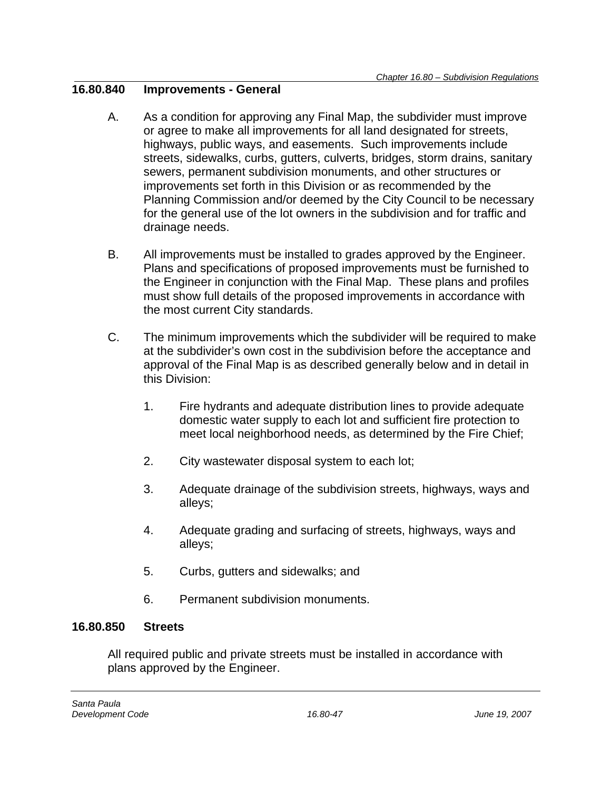### **16.80.840 Improvements - General**

- A. As a condition for approving any Final Map, the subdivider must improve or agree to make all improvements for all land designated for streets, highways, public ways, and easements. Such improvements include streets, sidewalks, curbs, gutters, culverts, bridges, storm drains, sanitary sewers, permanent subdivision monuments, and other structures or improvements set forth in this Division or as recommended by the Planning Commission and/or deemed by the City Council to be necessary for the general use of the lot owners in the subdivision and for traffic and drainage needs.
- B. All improvements must be installed to grades approved by the Engineer. Plans and specifications of proposed improvements must be furnished to the Engineer in conjunction with the Final Map. These plans and profiles must show full details of the proposed improvements in accordance with the most current City standards.
- C. The minimum improvements which the subdivider will be required to make at the subdivider's own cost in the subdivision before the acceptance and approval of the Final Map is as described generally below and in detail in this Division:
	- 1. Fire hydrants and adequate distribution lines to provide adequate domestic water supply to each lot and sufficient fire protection to meet local neighborhood needs, as determined by the Fire Chief;
	- 2. City wastewater disposal system to each lot;
	- 3. Adequate drainage of the subdivision streets, highways, ways and alleys;
	- 4. Adequate grading and surfacing of streets, highways, ways and alleys;
	- 5. Curbs, gutters and sidewalks; and
	- 6. Permanent subdivision monuments.

## **16.80.850 Streets**

All required public and private streets must be installed in accordance with plans approved by the Engineer.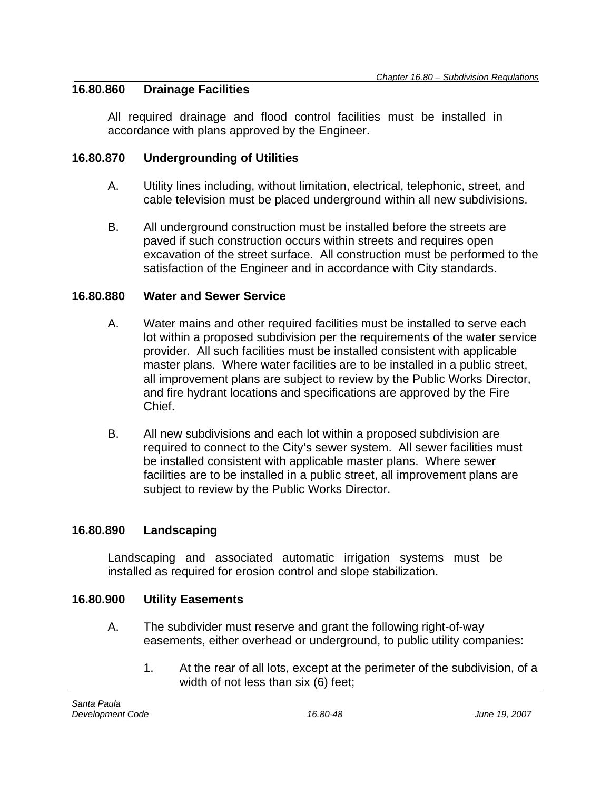### **16.80.860 Drainage Facilities**

All required drainage and flood control facilities must be installed in accordance with plans approved by the Engineer.

### **16.80.870 Undergrounding of Utilities**

- A. Utility lines including, without limitation, electrical, telephonic, street, and cable television must be placed underground within all new subdivisions.
- B. All underground construction must be installed before the streets are paved if such construction occurs within streets and requires open excavation of the street surface. All construction must be performed to the satisfaction of the Engineer and in accordance with City standards.

### **16.80.880 Water and Sewer Service**

- A. Water mains and other required facilities must be installed to serve each lot within a proposed subdivision per the requirements of the water service provider. All such facilities must be installed consistent with applicable master plans. Where water facilities are to be installed in a public street, all improvement plans are subject to review by the Public Works Director, and fire hydrant locations and specifications are approved by the Fire Chief.
- B. All new subdivisions and each lot within a proposed subdivision are required to connect to the City's sewer system. All sewer facilities must be installed consistent with applicable master plans. Where sewer facilities are to be installed in a public street, all improvement plans are subject to review by the Public Works Director.

### **16.80.890 Landscaping**

Landscaping and associated automatic irrigation systems must be installed as required for erosion control and slope stabilization.

### **16.80.900 Utility Easements**

- A. The subdivider must reserve and grant the following right-of-way easements, either overhead or underground, to public utility companies:
	- 1. At the rear of all lots, except at the perimeter of the subdivision, of a width of not less than six (6) feet;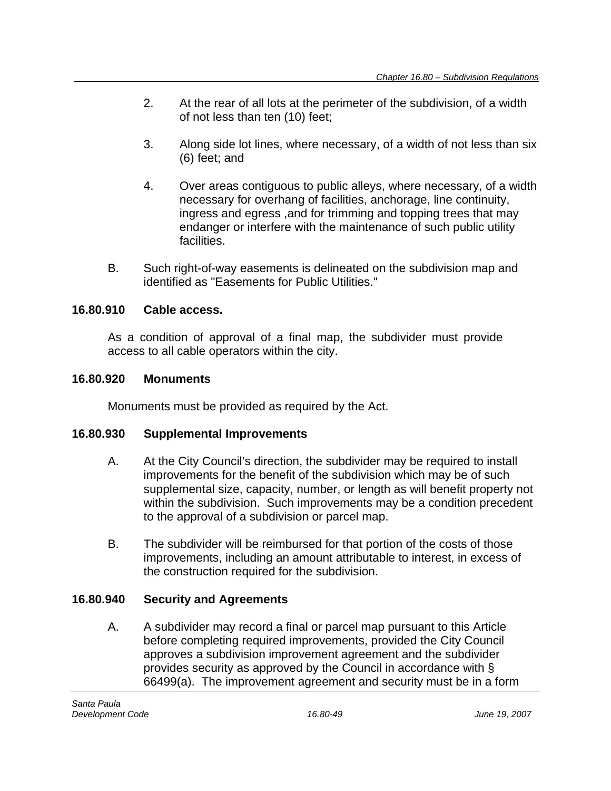- 2. At the rear of all lots at the perimeter of the subdivision, of a width of not less than ten (10) feet;
- 3. Along side lot lines, where necessary, of a width of not less than six (6) feet; and
- 4. Over areas contiguous to public alleys, where necessary, of a width necessary for overhang of facilities, anchorage, line continuity, ingress and egress ,and for trimming and topping trees that may endanger or interfere with the maintenance of such public utility facilities.
- B. Such right-of-way easements is delineated on the subdivision map and identified as "Easements for Public Utilities."

## **16.80.910 Cable access.**

As a condition of approval of a final map, the subdivider must provide access to all cable operators within the city.

### **16.80.920 Monuments**

Monuments must be provided as required by the Act.

## **16.80.930 Supplemental Improvements**

- A. At the City Council's direction, the subdivider may be required to install improvements for the benefit of the subdivision which may be of such supplemental size, capacity, number, or length as will benefit property not within the subdivision. Such improvements may be a condition precedent to the approval of a subdivision or parcel map.
- B. The subdivider will be reimbursed for that portion of the costs of those improvements, including an amount attributable to interest, in excess of the construction required for the subdivision.

## **16.80.940 Security and Agreements**

A. A subdivider may record a final or parcel map pursuant to this Article before completing required improvements, provided the City Council approves a subdivision improvement agreement and the subdivider provides security as approved by the Council in accordance with § 66499(a). The improvement agreement and security must be in a form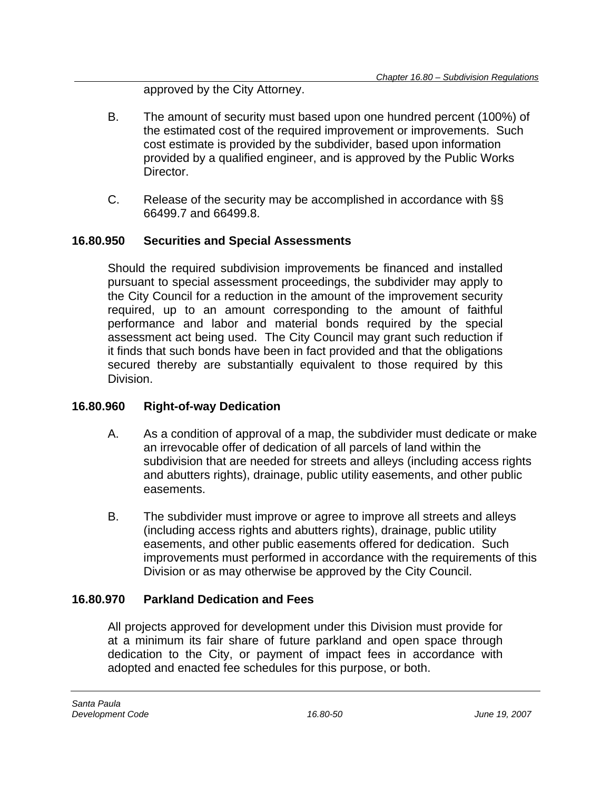approved by the City Attorney.

- B. The amount of security must based upon one hundred percent (100%) of the estimated cost of the required improvement or improvements. Such cost estimate is provided by the subdivider, based upon information provided by a qualified engineer, and is approved by the Public Works Director.
- C. Release of the security may be accomplished in accordance with §§ 66499.7 and 66499.8.

## **16.80.950 Securities and Special Assessments**

Should the required subdivision improvements be financed and installed pursuant to special assessment proceedings, the subdivider may apply to the City Council for a reduction in the amount of the improvement security required, up to an amount corresponding to the amount of faithful performance and labor and material bonds required by the special assessment act being used. The City Council may grant such reduction if it finds that such bonds have been in fact provided and that the obligations secured thereby are substantially equivalent to those required by this Division.

## **16.80.960 Right-of-way Dedication**

- A. As a condition of approval of a map, the subdivider must dedicate or make an irrevocable offer of dedication of all parcels of land within the subdivision that are needed for streets and alleys (including access rights and abutters rights), drainage, public utility easements, and other public easements.
- B. The subdivider must improve or agree to improve all streets and alleys (including access rights and abutters rights), drainage, public utility easements, and other public easements offered for dedication. Such improvements must performed in accordance with the requirements of this Division or as may otherwise be approved by the City Council.

## **16.80.970 Parkland Dedication and Fees**

All projects approved for development under this Division must provide for at a minimum its fair share of future parkland and open space through dedication to the City, or payment of impact fees in accordance with adopted and enacted fee schedules for this purpose, or both.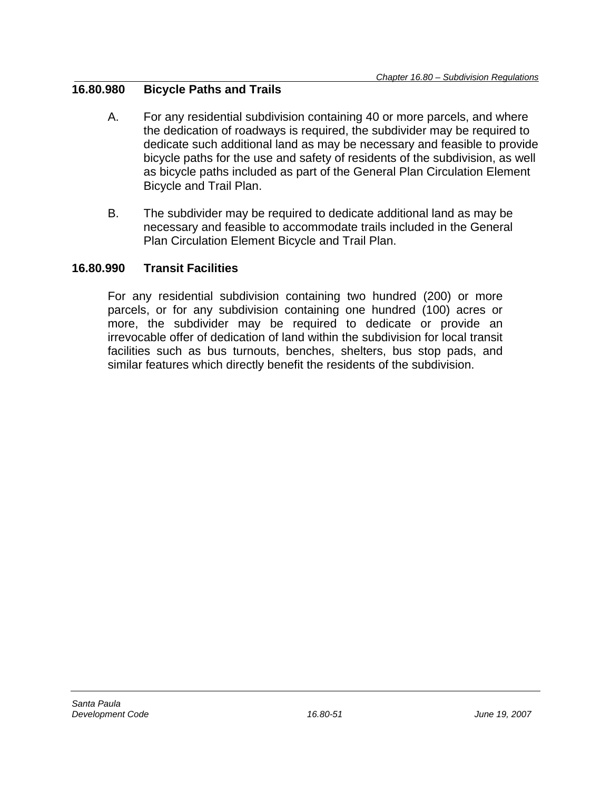### **16.80.980 Bicycle Paths and Trails**

- A. For any residential subdivision containing 40 or more parcels, and where the dedication of roadways is required, the subdivider may be required to dedicate such additional land as may be necessary and feasible to provide bicycle paths for the use and safety of residents of the subdivision, as well as bicycle paths included as part of the General Plan Circulation Element Bicycle and Trail Plan.
- B. The subdivider may be required to dedicate additional land as may be necessary and feasible to accommodate trails included in the General Plan Circulation Element Bicycle and Trail Plan.

### **16.80.990 Transit Facilities**

For any residential subdivision containing two hundred (200) or more parcels, or for any subdivision containing one hundred (100) acres or more, the subdivider may be required to dedicate or provide an irrevocable offer of dedication of land within the subdivision for local transit facilities such as bus turnouts, benches, shelters, bus stop pads, and similar features which directly benefit the residents of the subdivision.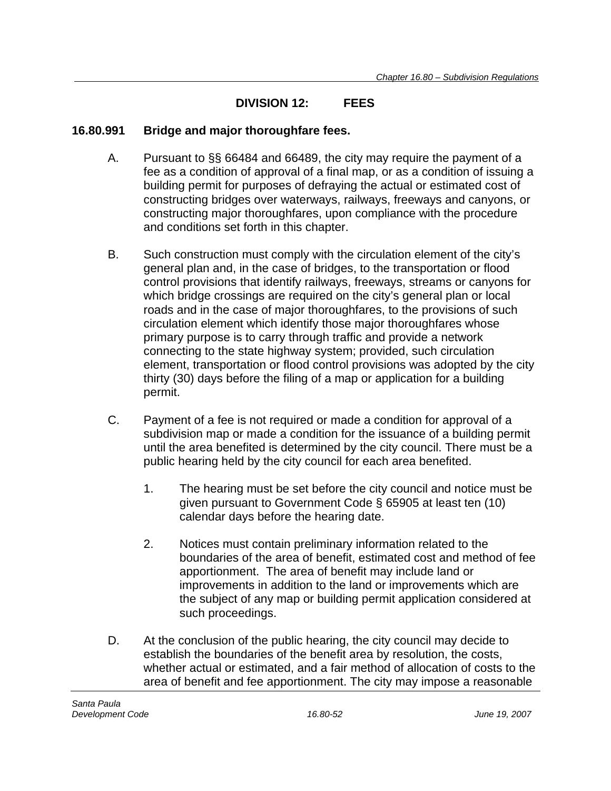## **DIVISION 12: FEES**

### **16.80.991 Bridge and major thoroughfare fees.**

- A. Pursuant to §§ 66484 and 66489, the city may require the payment of a fee as a condition of approval of a final map, or as a condition of issuing a building permit for purposes of defraying the actual or estimated cost of constructing bridges over waterways, railways, freeways and canyons, or constructing major thoroughfares, upon compliance with the procedure and conditions set forth in this chapter.
- B. Such construction must comply with the circulation element of the city's general plan and, in the case of bridges, to the transportation or flood control provisions that identify railways, freeways, streams or canyons for which bridge crossings are required on the city's general plan or local roads and in the case of major thoroughfares, to the provisions of such circulation element which identify those major thoroughfares whose primary purpose is to carry through traffic and provide a network connecting to the state highway system; provided, such circulation element, transportation or flood control provisions was adopted by the city thirty (30) days before the filing of a map or application for a building permit.
- C. Payment of a fee is not required or made a condition for approval of a subdivision map or made a condition for the issuance of a building permit until the area benefited is determined by the city council. There must be a public hearing held by the city council for each area benefited.
	- 1. The hearing must be set before the city council and notice must be given pursuant to Government Code § 65905 at least ten (10) calendar days before the hearing date.
	- 2. Notices must contain preliminary information related to the boundaries of the area of benefit, estimated cost and method of fee apportionment. The area of benefit may include land or improvements in addition to the land or improvements which are the subject of any map or building permit application considered at such proceedings.
- D. At the conclusion of the public hearing, the city council may decide to establish the boundaries of the benefit area by resolution, the costs, whether actual or estimated, and a fair method of allocation of costs to the area of benefit and fee apportionment. The city may impose a reasonable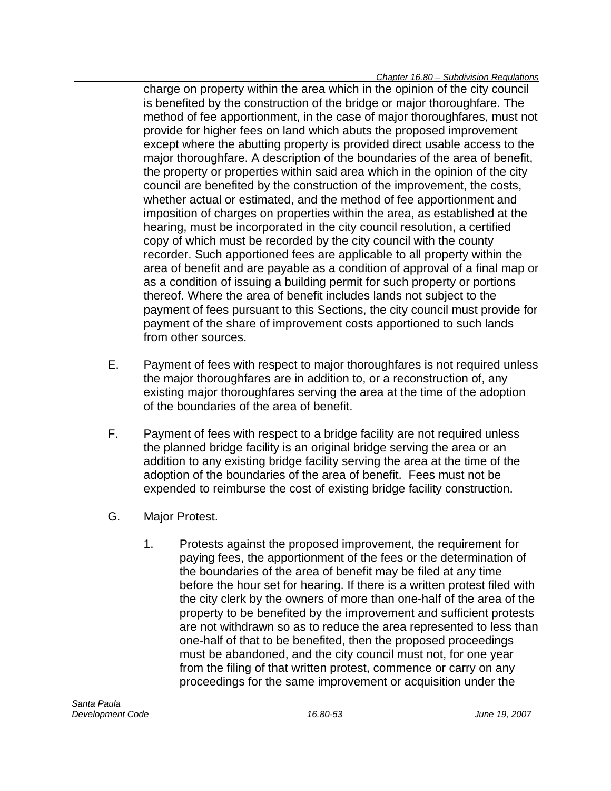charge on property within the area which in the opinion of the city council is benefited by the construction of the bridge or major thoroughfare. The method of fee apportionment, in the case of major thoroughfares, must not provide for higher fees on land which abuts the proposed improvement except where the abutting property is provided direct usable access to the major thoroughfare. A description of the boundaries of the area of benefit, the property or properties within said area which in the opinion of the city council are benefited by the construction of the improvement, the costs, whether actual or estimated, and the method of fee apportionment and imposition of charges on properties within the area, as established at the hearing, must be incorporated in the city council resolution, a certified copy of which must be recorded by the city council with the county recorder. Such apportioned fees are applicable to all property within the area of benefit and are payable as a condition of approval of a final map or as a condition of issuing a building permit for such property or portions thereof. Where the area of benefit includes lands not subject to the payment of fees pursuant to this Sections, the city council must provide for payment of the share of improvement costs apportioned to such lands from other sources.

- E. Payment of fees with respect to major thoroughfares is not required unless the major thoroughfares are in addition to, or a reconstruction of, any existing major thoroughfares serving the area at the time of the adoption of the boundaries of the area of benefit.
- F. Payment of fees with respect to a bridge facility are not required unless the planned bridge facility is an original bridge serving the area or an addition to any existing bridge facility serving the area at the time of the adoption of the boundaries of the area of benefit. Fees must not be expended to reimburse the cost of existing bridge facility construction.
- G. Major Protest.
	- 1. Protests against the proposed improvement, the requirement for paying fees, the apportionment of the fees or the determination of the boundaries of the area of benefit may be filed at any time before the hour set for hearing. If there is a written protest filed with the city clerk by the owners of more than one-half of the area of the property to be benefited by the improvement and sufficient protests are not withdrawn so as to reduce the area represented to less than one-half of that to be benefited, then the proposed proceedings must be abandoned, and the city council must not, for one year from the filing of that written protest, commence or carry on any proceedings for the same improvement or acquisition under the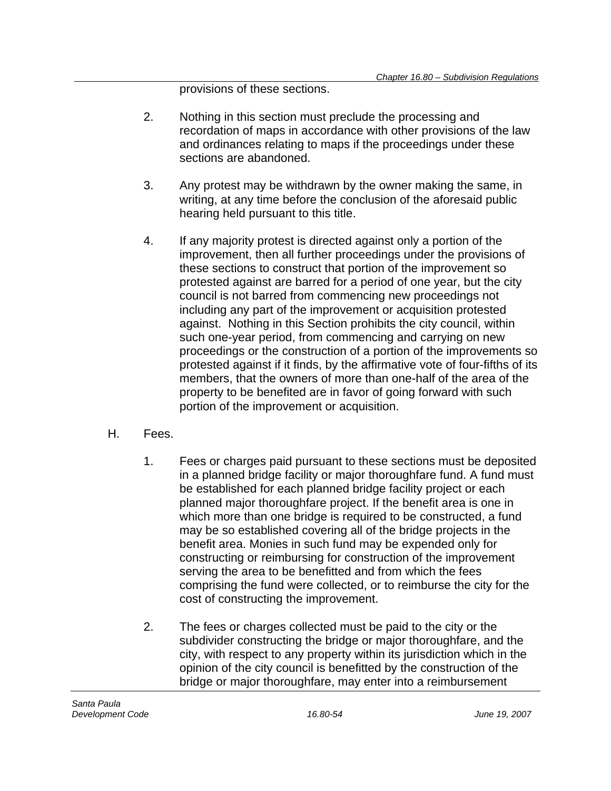provisions of these sections.

- 2. Nothing in this section must preclude the processing and recordation of maps in accordance with other provisions of the law and ordinances relating to maps if the proceedings under these sections are abandoned.
- 3. Any protest may be withdrawn by the owner making the same, in writing, at any time before the conclusion of the aforesaid public hearing held pursuant to this title.
- 4. If any majority protest is directed against only a portion of the improvement, then all further proceedings under the provisions of these sections to construct that portion of the improvement so protested against are barred for a period of one year, but the city council is not barred from commencing new proceedings not including any part of the improvement or acquisition protested against. Nothing in this Section prohibits the city council, within such one-year period, from commencing and carrying on new proceedings or the construction of a portion of the improvements so protested against if it finds, by the affirmative vote of four-fifths of its members, that the owners of more than one-half of the area of the property to be benefited are in favor of going forward with such portion of the improvement or acquisition.
- H. Fees.
	- 1. Fees or charges paid pursuant to these sections must be deposited in a planned bridge facility or major thoroughfare fund. A fund must be established for each planned bridge facility project or each planned major thoroughfare project. If the benefit area is one in which more than one bridge is required to be constructed, a fund may be so established covering all of the bridge projects in the benefit area. Monies in such fund may be expended only for constructing or reimbursing for construction of the improvement serving the area to be benefitted and from which the fees comprising the fund were collected, or to reimburse the city for the cost of constructing the improvement.
	- 2. The fees or charges collected must be paid to the city or the subdivider constructing the bridge or major thoroughfare, and the city, with respect to any property within its jurisdiction which in the opinion of the city council is benefitted by the construction of the bridge or major thoroughfare, may enter into a reimbursement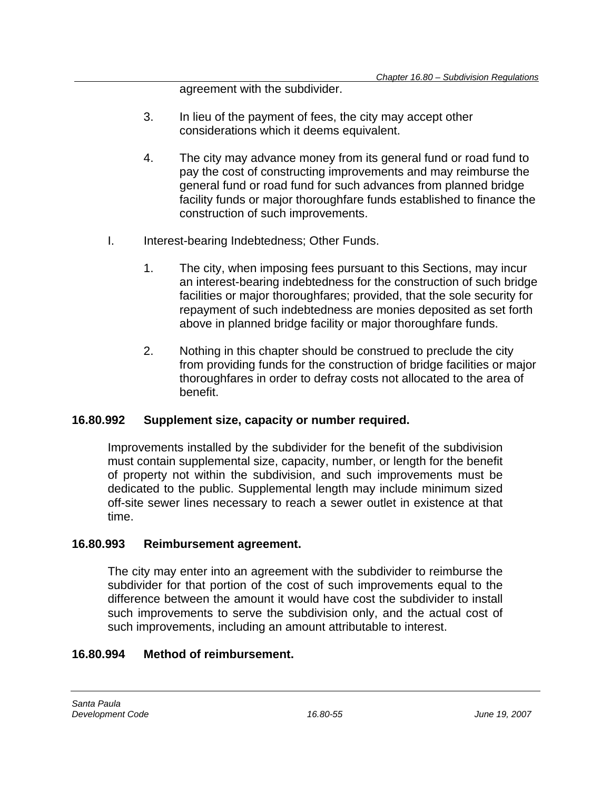agreement with the subdivider.

- 3. In lieu of the payment of fees, the city may accept other considerations which it deems equivalent.
- 4. The city may advance money from its general fund or road fund to pay the cost of constructing improvements and may reimburse the general fund or road fund for such advances from planned bridge facility funds or major thoroughfare funds established to finance the construction of such improvements.
- I. Interest-bearing Indebtedness; Other Funds.
	- 1. The city, when imposing fees pursuant to this Sections, may incur an interest-bearing indebtedness for the construction of such bridge facilities or major thoroughfares; provided, that the sole security for repayment of such indebtedness are monies deposited as set forth above in planned bridge facility or major thoroughfare funds.
	- 2. Nothing in this chapter should be construed to preclude the city from providing funds for the construction of bridge facilities or major thoroughfares in order to defray costs not allocated to the area of benefit.

## **16.80.992 Supplement size, capacity or number required.**

Improvements installed by the subdivider for the benefit of the subdivision must contain supplemental size, capacity, number, or length for the benefit of property not within the subdivision, and such improvements must be dedicated to the public. Supplemental length may include minimum sized off-site sewer lines necessary to reach a sewer outlet in existence at that time.

## **16.80.993 Reimbursement agreement.**

The city may enter into an agreement with the subdivider to reimburse the subdivider for that portion of the cost of such improvements equal to the difference between the amount it would have cost the subdivider to install such improvements to serve the subdivision only, and the actual cost of such improvements, including an amount attributable to interest.

## **16.80.994 Method of reimbursement.**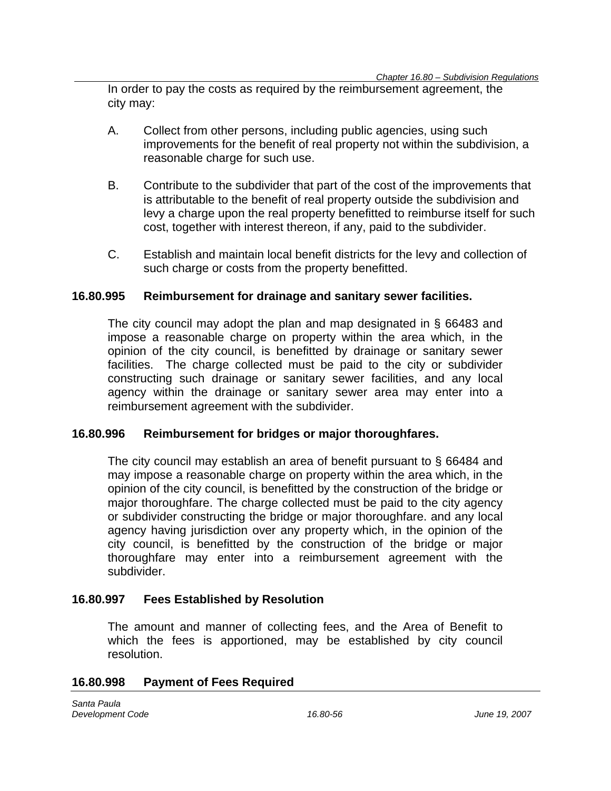In order to pay the costs as required by the reimbursement agreement, the city may:

- A. Collect from other persons, including public agencies, using such improvements for the benefit of real property not within the subdivision, a reasonable charge for such use.
- B. Contribute to the subdivider that part of the cost of the improvements that is attributable to the benefit of real property outside the subdivision and levy a charge upon the real property benefitted to reimburse itself for such cost, together with interest thereon, if any, paid to the subdivider.
- C. Establish and maintain local benefit districts for the levy and collection of such charge or costs from the property benefitted.

#### **16.80.995 Reimbursement for drainage and sanitary sewer facilities.**

The city council may adopt the plan and map designated in § 66483 and impose a reasonable charge on property within the area which, in the opinion of the city council, is benefitted by drainage or sanitary sewer facilities. The charge collected must be paid to the city or subdivider constructing such drainage or sanitary sewer facilities, and any local agency within the drainage or sanitary sewer area may enter into a reimbursement agreement with the subdivider.

### **16.80.996 Reimbursement for bridges or major thoroughfares.**

The city council may establish an area of benefit pursuant to § 66484 and may impose a reasonable charge on property within the area which, in the opinion of the city council, is benefitted by the construction of the bridge or major thoroughfare. The charge collected must be paid to the city agency or subdivider constructing the bridge or major thoroughfare. and any local agency having jurisdiction over any property which, in the opinion of the city council, is benefitted by the construction of the bridge or major thoroughfare may enter into a reimbursement agreement with the subdivider.

### **16.80.997 Fees Established by Resolution**

The amount and manner of collecting fees, and the Area of Benefit to which the fees is apportioned, may be established by city council resolution.

#### **16.80.998 Payment of Fees Required**

*Santa Paula Development Code 16.80-56 June 19, 2007*